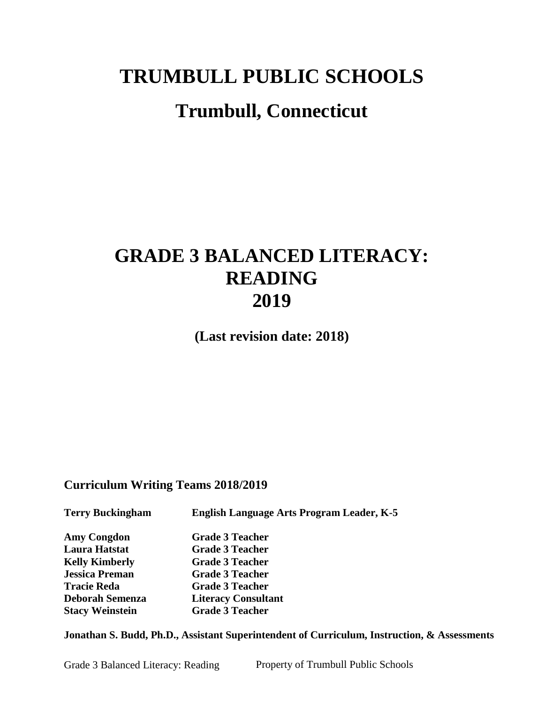# **TRUMBULL PUBLIC SCHOOLS**

# **Trumbull, Connecticut**

# **GRADE 3 BALANCED LITERACY: READING 2019**

**(Last revision date: 2018)**

## **Curriculum Writing Teams 2018/2019**

| <b>Terry Buckingham</b> | English Language Arts Program Leader, K-5 |
|-------------------------|-------------------------------------------|
| <b>Amy Congdon</b>      | <b>Grade 3 Teacher</b>                    |
| Laura Hatstat           | <b>Grade 3 Teacher</b>                    |
| <b>Kelly Kimberly</b>   | <b>Grade 3 Teacher</b>                    |
| <b>Jessica Preman</b>   | <b>Grade 3 Teacher</b>                    |
| <b>Tracie Reda</b>      | <b>Grade 3 Teacher</b>                    |
| Deborah Semenza         | <b>Literacy Consultant</b>                |
| <b>Stacy Weinstein</b>  | <b>Grade 3 Teacher</b>                    |

**Jonathan S. Budd, Ph.D., Assistant Superintendent of Curriculum, Instruction, & Assessments**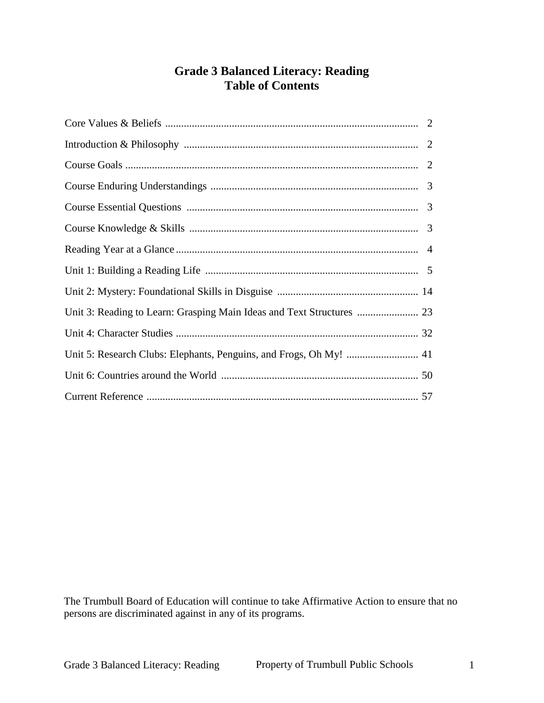## **Grade 3 Balanced Literacy: Reading Table of Contents**

| Unit 3: Reading to Learn: Grasping Main Ideas and Text Structures  23 |  |
|-----------------------------------------------------------------------|--|
|                                                                       |  |
| Unit 5: Research Clubs: Elephants, Penguins, and Frogs, Oh My!  41    |  |
|                                                                       |  |
|                                                                       |  |

The Trumbull Board of Education will continue to take Affirmative Action to ensure that no persons are discriminated against in any of its programs.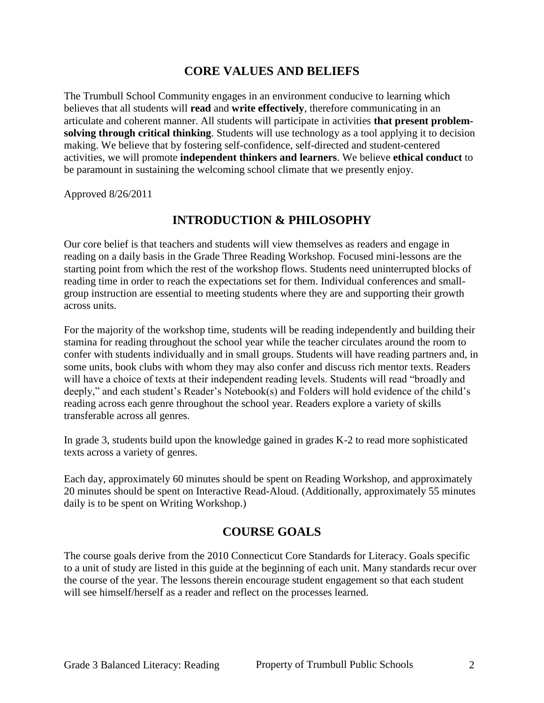## **CORE VALUES AND BELIEFS**

The Trumbull School Community engages in an environment conducive to learning which believes that all students will **read** and **write effectively**, therefore communicating in an articulate and coherent manner. All students will participate in activities **that present problemsolving through critical thinking**. Students will use technology as a tool applying it to decision making. We believe that by fostering self-confidence, self-directed and student-centered activities, we will promote **independent thinkers and learners**. We believe **ethical conduct** to be paramount in sustaining the welcoming school climate that we presently enjoy.

Approved 8/26/2011

## **INTRODUCTION & PHILOSOPHY**

Our core belief is that teachers and students will view themselves as readers and engage in reading on a daily basis in the Grade Three Reading Workshop. Focused mini-lessons are the starting point from which the rest of the workshop flows. Students need uninterrupted blocks of reading time in order to reach the expectations set for them. Individual conferences and smallgroup instruction are essential to meeting students where they are and supporting their growth across units.

For the majority of the workshop time, students will be reading independently and building their stamina for reading throughout the school year while the teacher circulates around the room to confer with students individually and in small groups. Students will have reading partners and, in some units, book clubs with whom they may also confer and discuss rich mentor texts. Readers will have a choice of texts at their independent reading levels. Students will read "broadly and deeply," and each student's Reader's Notebook(s) and Folders will hold evidence of the child's reading across each genre throughout the school year. Readers explore a variety of skills transferable across all genres.

In grade 3, students build upon the knowledge gained in grades K-2 to read more sophisticated texts across a variety of genres.

Each day, approximately 60 minutes should be spent on Reading Workshop, and approximately 20 minutes should be spent on Interactive Read-Aloud. (Additionally, approximately 55 minutes daily is to be spent on Writing Workshop.)

## **COURSE GOALS**

The course goals derive from the 2010 Connecticut Core Standards for Literacy. Goals specific to a unit of study are listed in this guide at the beginning of each unit. Many standards recur over the course of the year. The lessons therein encourage student engagement so that each student will see himself/herself as a reader and reflect on the processes learned.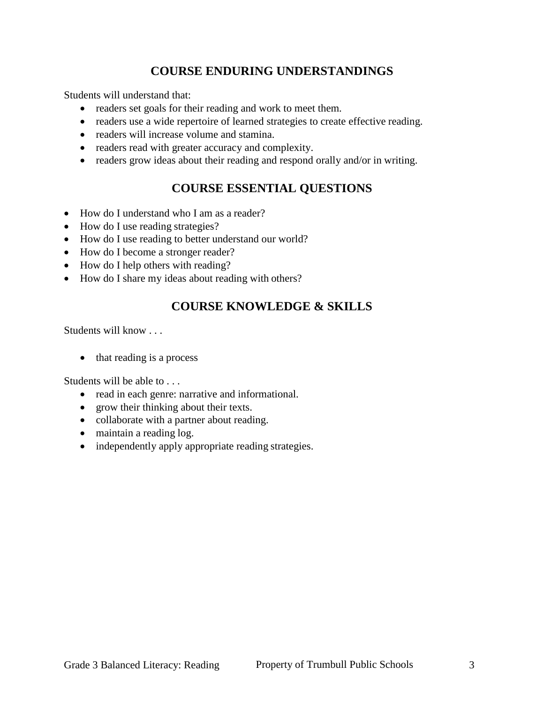## **COURSE ENDURING UNDERSTANDINGS**

Students will understand that:

- readers set goals for their reading and work to meet them.
- readers use a wide repertoire of learned strategies to create effective reading.
- readers will increase volume and stamina.
- readers read with greater accuracy and complexity.
- readers grow ideas about their reading and respond orally and/or in writing.

## **COURSE ESSENTIAL QUESTIONS**

- How do I understand who I am as a reader?
- How do I use reading strategies?
- How do I use reading to better understand our world?
- How do I become a stronger reader?
- How do I help others with reading?
- How do I share my ideas about reading with others?

## **COURSE KNOWLEDGE & SKILLS**

Students will know . . .

• that reading is a process

Students will be able to . . .

- read in each genre: narrative and informational.
- grow their thinking about their texts.
- collaborate with a partner about reading.
- maintain a reading log.
- independently apply appropriate reading strategies.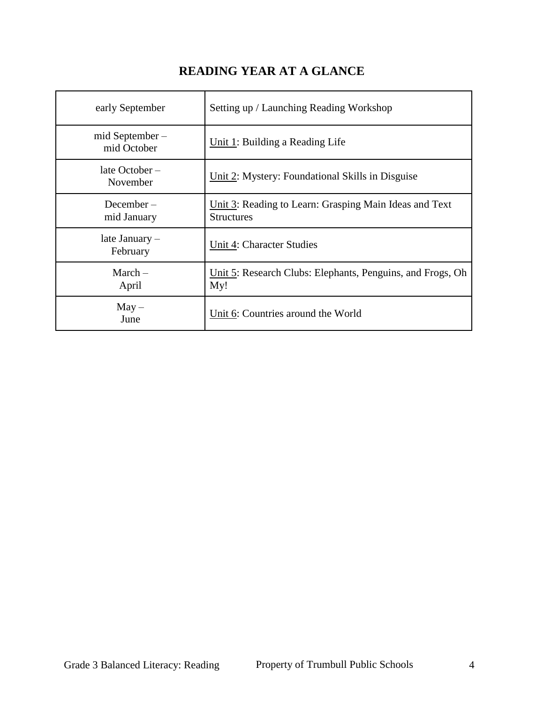# **READING YEAR AT A GLANCE**

| early September               | Setting up / Launching Reading Workshop                                     |
|-------------------------------|-----------------------------------------------------------------------------|
| mid September-<br>mid October | Unit 1: Building a Reading Life                                             |
| late October-<br>November     | Unit 2: Mystery: Foundational Skills in Disguise                            |
| $December -$<br>mid January   | Unit 3: Reading to Learn: Grasping Main Ideas and Text<br><b>Structures</b> |
| late January –<br>February    | Unit 4: Character Studies                                                   |
| $March-$<br>April             | Unit 5: Research Clubs: Elephants, Penguins, and Frogs, Oh<br>My!           |
| $May -$<br>June               | Unit 6: Countries around the World                                          |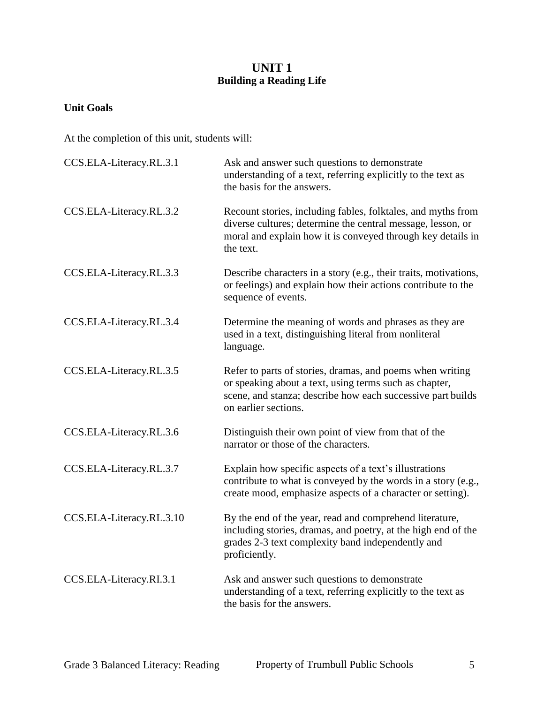## **UNIT 1 Building a Reading Life**

#### **Unit Goals**

| CCS.ELA-Literacy.RL.3.1  | Ask and answer such questions to demonstrate<br>understanding of a text, referring explicitly to the text as<br>the basis for the answers.                                                                 |
|--------------------------|------------------------------------------------------------------------------------------------------------------------------------------------------------------------------------------------------------|
| CCS.ELA-Literacy.RL.3.2  | Recount stories, including fables, folktales, and myths from<br>diverse cultures; determine the central message, lesson, or<br>moral and explain how it is conveyed through key details in<br>the text.    |
| CCS.ELA-Literacy.RL.3.3  | Describe characters in a story (e.g., their traits, motivations,<br>or feelings) and explain how their actions contribute to the<br>sequence of events.                                                    |
| CCS.ELA-Literacy.RL.3.4  | Determine the meaning of words and phrases as they are<br>used in a text, distinguishing literal from nonliteral<br>language.                                                                              |
| CCS.ELA-Literacy.RL.3.5  | Refer to parts of stories, dramas, and poems when writing<br>or speaking about a text, using terms such as chapter,<br>scene, and stanza; describe how each successive part builds<br>on earlier sections. |
| CCS.ELA-Literacy.RL.3.6  | Distinguish their own point of view from that of the<br>narrator or those of the characters.                                                                                                               |
| CCS.ELA-Literacy.RL.3.7  | Explain how specific aspects of a text's illustrations<br>contribute to what is conveyed by the words in a story (e.g.,<br>create mood, emphasize aspects of a character or setting).                      |
| CCS.ELA-Literacy.RL.3.10 | By the end of the year, read and comprehend literature,<br>including stories, dramas, and poetry, at the high end of the<br>grades 2-3 text complexity band independently and<br>proficiently.             |
| CCS.ELA-Literacy.RI.3.1  | Ask and answer such questions to demonstrate<br>understanding of a text, referring explicitly to the text as<br>the basis for the answers.                                                                 |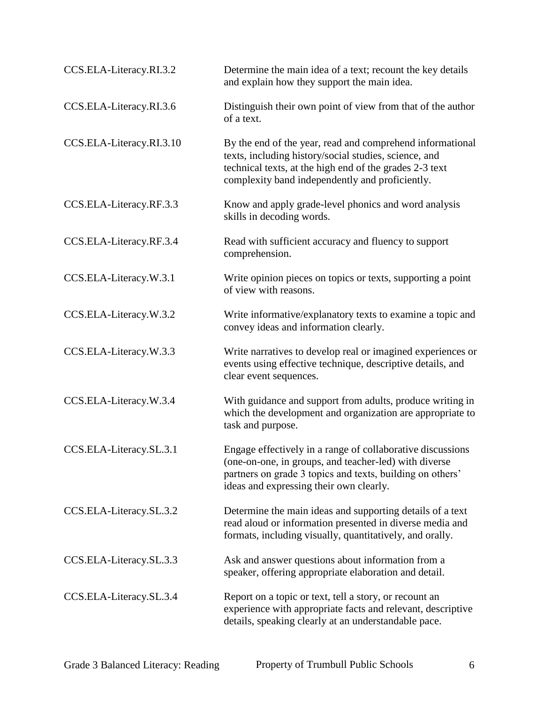| CCS.ELA-Literacy.RI.3.2  | Determine the main idea of a text; recount the key details<br>and explain how they support the main idea.                                                                                                                        |
|--------------------------|----------------------------------------------------------------------------------------------------------------------------------------------------------------------------------------------------------------------------------|
| CCS.ELA-Literacy.RI.3.6  | Distinguish their own point of view from that of the author<br>of a text.                                                                                                                                                        |
| CCS.ELA-Literacy.RI.3.10 | By the end of the year, read and comprehend informational<br>texts, including history/social studies, science, and<br>technical texts, at the high end of the grades 2-3 text<br>complexity band independently and proficiently. |
| CCS.ELA-Literacy.RF.3.3  | Know and apply grade-level phonics and word analysis<br>skills in decoding words.                                                                                                                                                |
| CCS.ELA-Literacy.RF.3.4  | Read with sufficient accuracy and fluency to support<br>comprehension.                                                                                                                                                           |
| CCS.ELA-Literacy.W.3.1   | Write opinion pieces on topics or texts, supporting a point<br>of view with reasons.                                                                                                                                             |
| CCS.ELA-Literacy.W.3.2   | Write informative/explanatory texts to examine a topic and<br>convey ideas and information clearly.                                                                                                                              |
| CCS.ELA-Literacy.W.3.3   | Write narratives to develop real or imagined experiences or<br>events using effective technique, descriptive details, and<br>clear event sequences.                                                                              |
| CCS.ELA-Literacy.W.3.4   | With guidance and support from adults, produce writing in<br>which the development and organization are appropriate to<br>task and purpose.                                                                                      |
| CCS.ELA-Literacy.SL.3.1  | Engage effectively in a range of collaborative discussions<br>(one-on-one, in groups, and teacher-led) with diverse<br>partners on grade 3 topics and texts, building on others'<br>ideas and expressing their own clearly.      |
| CCS.ELA-Literacy.SL.3.2  | Determine the main ideas and supporting details of a text<br>read aloud or information presented in diverse media and<br>formats, including visually, quantitatively, and orally.                                                |
| CCS.ELA-Literacy.SL.3.3  | Ask and answer questions about information from a<br>speaker, offering appropriate elaboration and detail.                                                                                                                       |
| CCS.ELA-Literacy.SL.3.4  | Report on a topic or text, tell a story, or recount an<br>experience with appropriate facts and relevant, descriptive<br>details, speaking clearly at an understandable pace.                                                    |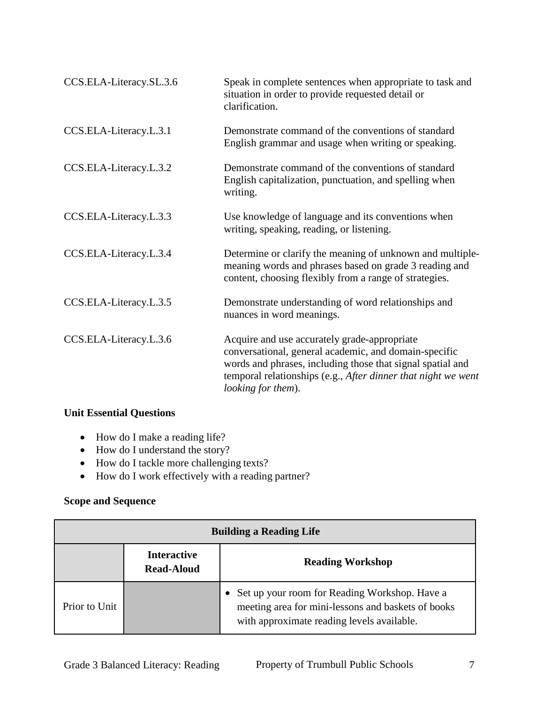| CCS.ELA-Literacy.SL.3.6 | Speak in complete sentences when appropriate to task and<br>situation in order to provide requested detail or<br>clarification.                                                                                                                            |
|-------------------------|------------------------------------------------------------------------------------------------------------------------------------------------------------------------------------------------------------------------------------------------------------|
| CCS.ELA-Literacy.L.3.1  | Demonstrate command of the conventions of standard<br>English grammar and usage when writing or speaking.                                                                                                                                                  |
| CCS.ELA-Literacy.L.3.2  | Demonstrate command of the conventions of standard<br>English capitalization, punctuation, and spelling when<br>writing.                                                                                                                                   |
| CCS.ELA-Literacy.L.3.3  | Use knowledge of language and its conventions when<br>writing, speaking, reading, or listening.                                                                                                                                                            |
| CCS.ELA-Literacy.L.3.4  | Determine or clarify the meaning of unknown and multiple-<br>meaning words and phrases based on grade 3 reading and<br>content, choosing flexibly from a range of strategies.                                                                              |
| CCS.ELA-Literacy.L.3.5  | Demonstrate understanding of word relationships and<br>nuances in word meanings.                                                                                                                                                                           |
| CCS.ELA-Literacy.L.3.6  | Acquire and use accurately grade-appropriate<br>conversational, general academic, and domain-specific<br>words and phrases, including those that signal spatial and<br>temporal relationships (e.g., After dinner that night we went<br>looking for them). |

#### **Unit Essential Questions**

- How do I make a reading life?
- How do I understand the story?
- How do I tackle more challenging texts?
- How do I work effectively with a reading partner?

| <b>Building a Reading Life</b> |                                         |                                                                                                                                                   |
|--------------------------------|-----------------------------------------|---------------------------------------------------------------------------------------------------------------------------------------------------|
|                                | <b>Interactive</b><br><b>Read-Aloud</b> | <b>Reading Workshop</b>                                                                                                                           |
| Prior to Unit                  |                                         | Set up your room for Reading Workshop. Have a<br>meeting area for mini-lessons and baskets of books<br>with approximate reading levels available. |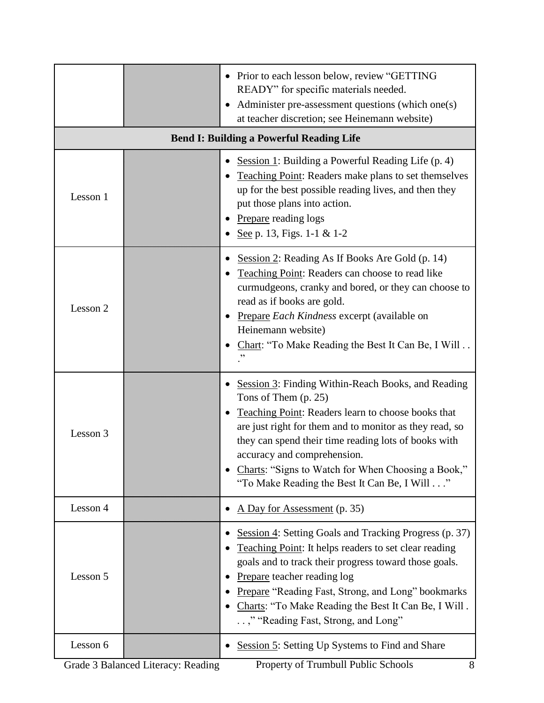|          | • Prior to each lesson below, review "GETTING"<br>READY" for specific materials needed.<br>Administer pre-assessment questions (which one(s)<br>at teacher discretion; see Heinemann website)                                                                                                                                                                                              |
|----------|--------------------------------------------------------------------------------------------------------------------------------------------------------------------------------------------------------------------------------------------------------------------------------------------------------------------------------------------------------------------------------------------|
|          | <b>Bend I: Building a Powerful Reading Life</b>                                                                                                                                                                                                                                                                                                                                            |
| Lesson 1 | Session 1: Building a Powerful Reading Life $(p, 4)$<br>$\bullet$<br>Teaching Point: Readers make plans to set themselves<br>up for the best possible reading lives, and then they<br>put those plans into action.<br>Prepare reading logs<br>See p. 13, Figs. 1-1 & 1-2                                                                                                                   |
| Lesson 2 | Session 2: Reading As If Books Are Gold (p. 14)<br>$\bullet$<br>Teaching Point: Readers can choose to read like<br>curmudgeons, cranky and bored, or they can choose to<br>read as if books are gold.<br>Prepare Each Kindness excerpt (available on<br>Heinemann website)<br>Chart: "To Make Reading the Best It Can Be, I Will                                                           |
| Lesson 3 | Session 3: Finding Within-Reach Books, and Reading<br>Tons of Them $(p. 25)$<br>Teaching Point: Readers learn to choose books that<br>are just right for them and to monitor as they read, so<br>they can spend their time reading lots of books with<br>accuracy and comprehension.<br>Charts: "Signs to Watch for When Choosing a Book,"<br>"To Make Reading the Best It Can Be, I Will" |
| Lesson 4 | A Day for Assessment (p. 35)                                                                                                                                                                                                                                                                                                                                                               |
| Lesson 5 | Session 4: Setting Goals and Tracking Progress (p. 37)<br>Teaching Point: It helps readers to set clear reading<br>goals and to track their progress toward those goals.<br>Prepare teacher reading log<br>Prepare "Reading Fast, Strong, and Long" bookmarks<br>Charts: "To Make Reading the Best It Can Be, I Will.<br>," "Reading Fast, Strong, and Long"                               |
| Lesson 6 | <b>Session 5: Setting Up Systems to Find and Share</b>                                                                                                                                                                                                                                                                                                                                     |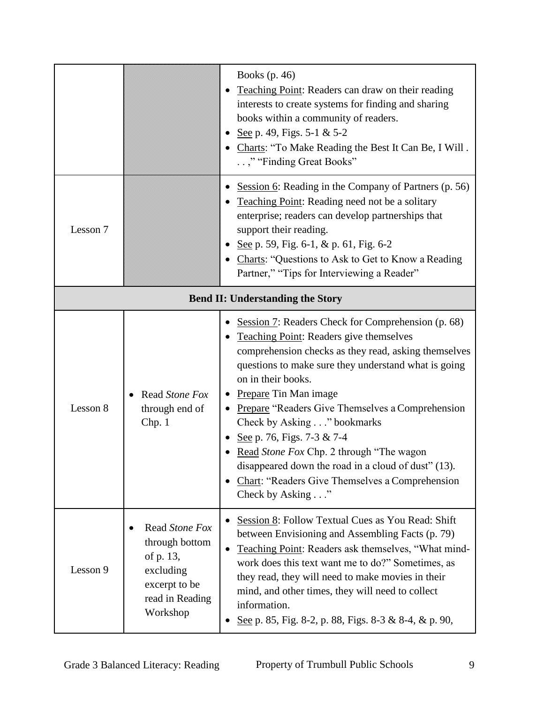|                                         |                                                                                                            | Books $(p. 46)$<br>Teaching Point: Readers can draw on their reading<br>interests to create systems for finding and sharing<br>books within a community of readers.<br>See p. 49, Figs. 5-1 & 5-2<br>Charts: "To Make Reading the Best It Can Be, I Will.<br>," "Finding Great Books"                                                                                                                                                                                                                                                                                        |
|-----------------------------------------|------------------------------------------------------------------------------------------------------------|------------------------------------------------------------------------------------------------------------------------------------------------------------------------------------------------------------------------------------------------------------------------------------------------------------------------------------------------------------------------------------------------------------------------------------------------------------------------------------------------------------------------------------------------------------------------------|
| Lesson 7                                |                                                                                                            | Session 6: Reading in the Company of Partners (p. 56)<br>Teaching Point: Reading need not be a solitary<br>enterprise; readers can develop partnerships that<br>support their reading.<br>See p. 59, Fig. 6-1, & p. 61, Fig. 6-2<br>• Charts: "Questions to Ask to Get to Know a Reading<br>Partner," "Tips for Interviewing a Reader"                                                                                                                                                                                                                                       |
| <b>Bend II: Understanding the Story</b> |                                                                                                            |                                                                                                                                                                                                                                                                                                                                                                                                                                                                                                                                                                              |
| Lesson 8                                | Read Stone Fox<br>through end of<br>Chp. 1                                                                 | Session 7: Readers Check for Comprehension (p. 68)<br>$\bullet$<br>Teaching Point: Readers give themselves<br>comprehension checks as they read, asking themselves<br>questions to make sure they understand what is going<br>on in their books.<br><b>Prepare Tin Man image</b><br>• Prepare "Readers Give Themselves a Comprehension<br>Check by Asking" bookmarks<br>See p. 76, Figs. 7-3 & 7-4<br>Read Stone Fox Chp. 2 through "The wagon<br>disappeared down the road in a cloud of dust" (13).<br>Chart: "Readers Give Themselves a Comprehension<br>Check by Asking" |
| Lesson 9                                | Read Stone Fox<br>through bottom<br>of p. 13,<br>excluding<br>excerpt to be<br>read in Reading<br>Workshop | Session 8: Follow Textual Cues as You Read: Shift<br>$\bullet$<br>between Envisioning and Assembling Facts (p. 79)<br>Teaching Point: Readers ask themselves, "What mind-<br>work does this text want me to do?" Sometimes, as<br>they read, they will need to make movies in their<br>mind, and other times, they will need to collect<br>information.<br>See p. 85, Fig. 8-2, p. 88, Figs. 8-3 & 8-4, & p. 90,                                                                                                                                                             |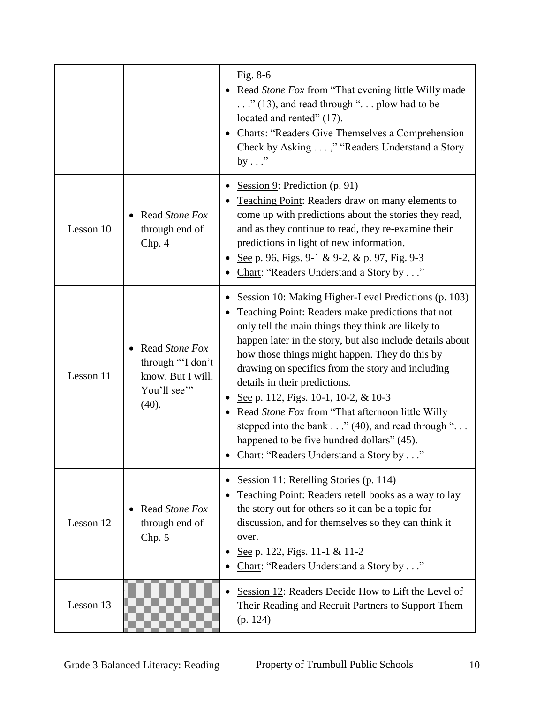|           |                                                                                  | Fig. 8-6<br>Read Stone Fox from "That evening little Willy made<br>$\ldots$ ." (13), and read through " $\ldots$ plow had to be<br>located and rented" (17).<br><b>Charts: "Readers Give Themselves a Comprehension</b><br>Check by Asking ," "Readers Understand a Story<br>by $\dots$ "                                                                                                                                                                                                                                                                                                                           |
|-----------|----------------------------------------------------------------------------------|---------------------------------------------------------------------------------------------------------------------------------------------------------------------------------------------------------------------------------------------------------------------------------------------------------------------------------------------------------------------------------------------------------------------------------------------------------------------------------------------------------------------------------------------------------------------------------------------------------------------|
| Lesson 10 | Read Stone Fox<br>through end of<br>Chp. 4                                       | Session 9: Prediction $(p. 91)$<br>Teaching Point: Readers draw on many elements to<br>come up with predictions about the stories they read,<br>and as they continue to read, they re-examine their<br>predictions in light of new information.<br>See p. 96, Figs. 9-1 & 9-2, & p. 97, Fig. 9-3<br>Chart: "Readers Understand a Story by"                                                                                                                                                                                                                                                                          |
| Lesson 11 | Read Stone Fox<br>through "'I don't<br>know. But I will.<br>You'll see"<br>(40). | Session 10: Making Higher-Level Predictions (p. 103)<br><b>Teaching Point: Readers make predictions that not</b><br>only tell the main things they think are likely to<br>happen later in the story, but also include details about<br>how those things might happen. They do this by<br>drawing on specifics from the story and including<br>details in their predictions.<br>See p. 112, Figs. 10-1, 10-2, & 10-3<br>Read Stone Fox from "That afternoon little Willy<br>stepped into the bank" (40), and read through ".<br>happened to be five hundred dollars" (45).<br>Chart: "Readers Understand a Story by" |
| Lesson 12 | Read Stone Fox<br>through end of<br>Chp. 5                                       | Session 11: Retelling Stories $(p. 114)$<br><b>Teaching Point:</b> Readers retell books as a way to lay<br>the story out for others so it can be a topic for<br>discussion, and for themselves so they can think it<br>over.<br>See p. 122, Figs. 11-1 & 11-2<br>Chart: "Readers Understand a Story by"                                                                                                                                                                                                                                                                                                             |
| Lesson 13 |                                                                                  | Session 12: Readers Decide How to Lift the Level of<br>Their Reading and Recruit Partners to Support Them<br>(p. 124)                                                                                                                                                                                                                                                                                                                                                                                                                                                                                               |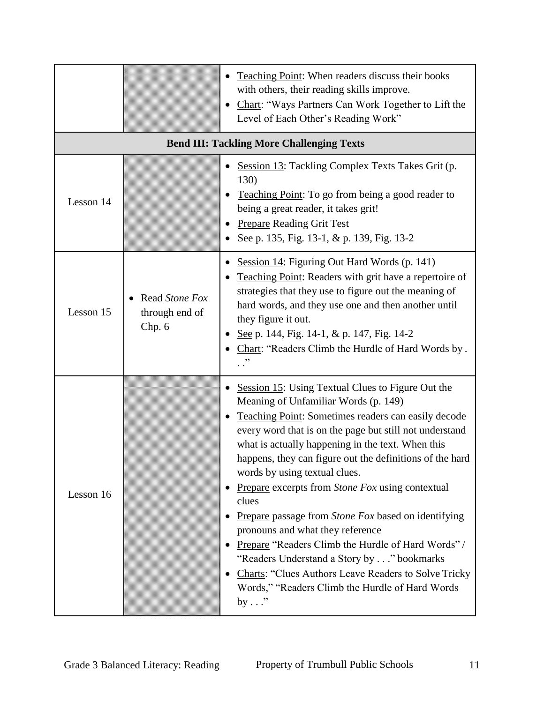|           |                                            | Teaching Point: When readers discuss their books<br>with others, their reading skills improve.<br>Chart: "Ways Partners Can Work Together to Lift the<br>Level of Each Other's Reading Work"                                                                                                                                                                                                                                                                                                                                                                                                                                                                                                                                                         |
|-----------|--------------------------------------------|------------------------------------------------------------------------------------------------------------------------------------------------------------------------------------------------------------------------------------------------------------------------------------------------------------------------------------------------------------------------------------------------------------------------------------------------------------------------------------------------------------------------------------------------------------------------------------------------------------------------------------------------------------------------------------------------------------------------------------------------------|
|           |                                            | <b>Bend III: Tackling More Challenging Texts</b>                                                                                                                                                                                                                                                                                                                                                                                                                                                                                                                                                                                                                                                                                                     |
| Lesson 14 |                                            | Session 13: Tackling Complex Texts Takes Grit (p.<br>130)<br>Teaching Point: To go from being a good reader to<br>being a great reader, it takes grit!<br><b>Prepare Reading Grit Test</b><br>See p. 135, Fig. 13-1, & p. 139, Fig. 13-2                                                                                                                                                                                                                                                                                                                                                                                                                                                                                                             |
| Lesson 15 | Read Stone Fox<br>through end of<br>Chp. 6 | Session 14: Figuring Out Hard Words (p. 141)<br>Teaching Point: Readers with grit have a repertoire of<br>strategies that they use to figure out the meaning of<br>hard words, and they use one and then another until<br>they figure it out.<br>See p. 144, Fig. 14-1, & p. 147, Fig. 14-2<br>Chart: "Readers Climb the Hurdle of Hard Words by.<br>. ."                                                                                                                                                                                                                                                                                                                                                                                            |
| Lesson 16 |                                            | Session 15: Using Textual Clues to Figure Out the<br>Meaning of Unfamiliar Words (p. 149)<br>Teaching Point: Sometimes readers can easily decode<br>every word that is on the page but still not understand<br>what is actually happening in the text. When this<br>happens, they can figure out the definitions of the hard<br>words by using textual clues.<br>Prepare excerpts from Stone Fox using contextual<br>clues<br>Prepare passage from Stone Fox based on identifying<br>pronouns and what they reference<br>Prepare "Readers Climb the Hurdle of Hard Words" /<br>"Readers Understand a Story by" bookmarks<br>Charts: "Clues Authors Leave Readers to Solve Tricky<br>Words," "Readers Climb the Hurdle of Hard Words<br>by $\ldots$ " |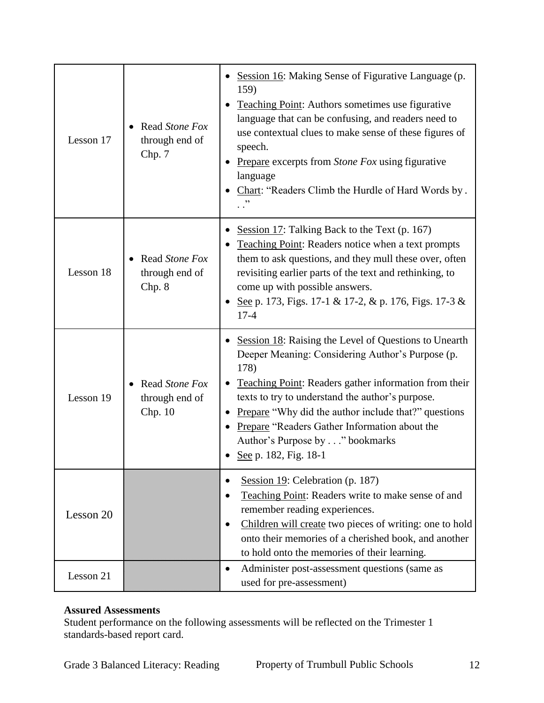| Lesson 17 | Read Stone Fox<br>through end of<br>Chp. 7  | Session 16: Making Sense of Figurative Language (p.<br>159)<br><b>Teaching Point:</b> Authors sometimes use figurative<br>language that can be confusing, and readers need to<br>use contextual clues to make sense of these figures of<br>speech.<br>Prepare excerpts from Stone Fox using figurative<br>language<br>Chart: "Readers Climb the Hurdle of Hard Words by.<br>$\cdot$ . $\cdot$                          |
|-----------|---------------------------------------------|------------------------------------------------------------------------------------------------------------------------------------------------------------------------------------------------------------------------------------------------------------------------------------------------------------------------------------------------------------------------------------------------------------------------|
| Lesson 18 | Read Stone Fox<br>through end of<br>Chp. 8  | Session 17: Talking Back to the Text (p. 167)<br>Teaching Point: Readers notice when a text prompts<br>them to ask questions, and they mull these over, often<br>revisiting earlier parts of the text and rethinking, to<br>come up with possible answers.<br>See p. 173, Figs. 17-1 & 17-2, & p. 176, Figs. 17-3 &<br>$17 - 4$                                                                                        |
| Lesson 19 | Read Stone Fox<br>through end of<br>Chp. 10 | Session 18: Raising the Level of Questions to Unearth<br>Deeper Meaning: Considering Author's Purpose (p.<br>178)<br>Teaching Point: Readers gather information from their<br>texts to try to understand the author's purpose.<br><b>Prepare</b> "Why did the author include that?" questions<br>$\bullet$<br>Prepare "Readers Gather Information about the<br>Author's Purpose by" bookmarks<br>See p. 182, Fig. 18-1 |
| Lesson 20 |                                             | Session 19: Celebration (p. 187)<br>Teaching Point: Readers write to make sense of and<br>remember reading experiences.<br>Children will create two pieces of writing: one to hold<br>$\bullet$<br>onto their memories of a cherished book, and another<br>to hold onto the memories of their learning.                                                                                                                |
| Lesson 21 |                                             | Administer post-assessment questions (same as<br>$\bullet$<br>used for pre-assessment)                                                                                                                                                                                                                                                                                                                                 |

Student performance on the following assessments will be reflected on the Trimester 1 standards-based report card.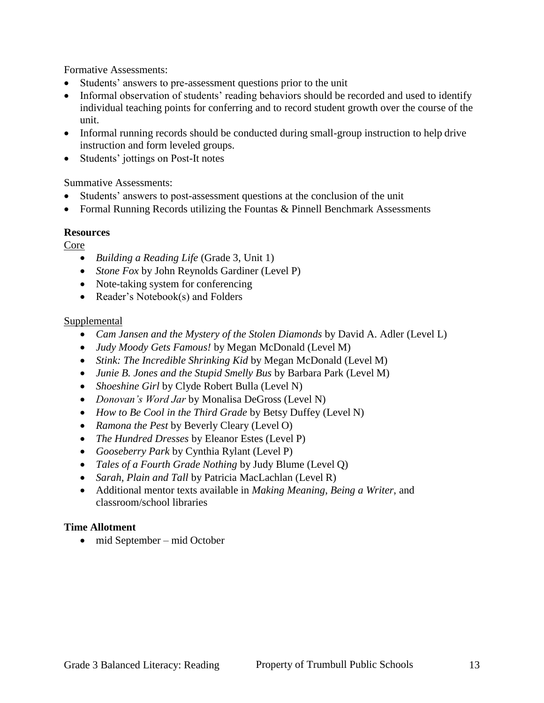Formative Assessments:

- Students' answers to pre-assessment questions prior to the unit
- Informal observation of students' reading behaviors should be recorded and used to identify individual teaching points for conferring and to record student growth over the course of the unit.
- Informal running records should be conducted during small-group instruction to help drive instruction and form leveled groups.
- Students' jottings on Post-It notes

#### Summative Assessments:

- Students' answers to post-assessment questions at the conclusion of the unit
- Formal Running Records utilizing the Fountas & Pinnell Benchmark Assessments

#### **Resources**

Core

- *Building a Reading Life* (Grade 3, Unit 1)
- *Stone Fox* by John Reynolds Gardiner (Level P)
- Note-taking system for conferencing
- Reader's Notebook(s) and Folders

#### **Supplemental**

- *Cam Jansen and the Mystery of the Stolen Diamonds* by David A. Adler (Level L)
- *Judy Moody Gets Famous!* by Megan McDonald (Level M)
- *Stink: The Incredible Shrinking Kid* by Megan McDonald (Level M)
- *Junie B. Jones and the Stupid Smelly Bus* by Barbara Park (Level M)
- *Shoeshine Girl* by Clyde Robert Bulla (Level N)
- *Donovan's Word Jar* by Monalisa DeGross (Level N)
- *How to Be Cool in the Third Grade* by Betsy Duffey (Level N)
- *Ramona the Pest* by Beverly Cleary (Level O)
- *The Hundred Dresses* by Eleanor Estes (Level P)
- *Gooseberry Park* by Cynthia Rylant (Level P)
- *Tales of a Fourth Grade Nothing* by Judy Blume (Level Q)
- *Sarah, Plain and Tall* by Patricia MacLachlan (Level R)
- Additional mentor texts available in *Making Meaning*, *Being a Writer*, and classroom/school libraries

#### **Time Allotment**

• mid September – mid October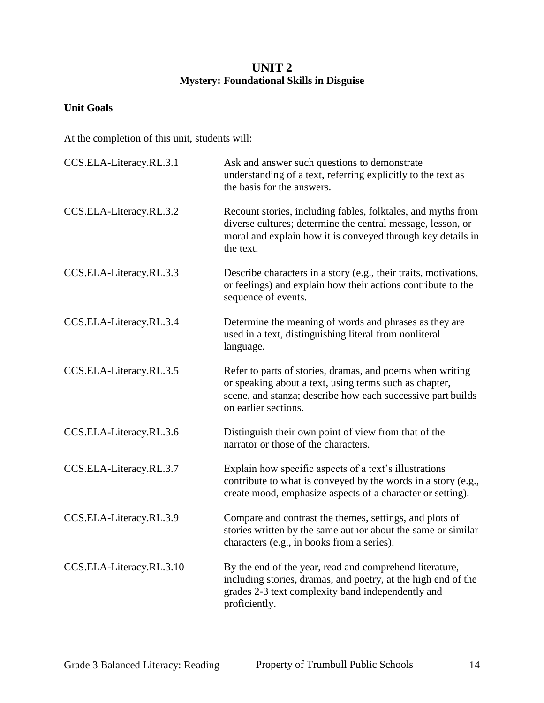## **UNIT 2 Mystery: Foundational Skills in Disguise**

#### **Unit Goals**

| CCS.ELA-Literacy.RL.3.1  | Ask and answer such questions to demonstrate<br>understanding of a text, referring explicitly to the text as<br>the basis for the answers.                                                                 |
|--------------------------|------------------------------------------------------------------------------------------------------------------------------------------------------------------------------------------------------------|
| CCS.ELA-Literacy.RL.3.2  | Recount stories, including fables, folktales, and myths from<br>diverse cultures; determine the central message, lesson, or<br>moral and explain how it is conveyed through key details in<br>the text.    |
| CCS.ELA-Literacy.RL.3.3  | Describe characters in a story (e.g., their traits, motivations,<br>or feelings) and explain how their actions contribute to the<br>sequence of events.                                                    |
| CCS.ELA-Literacy.RL.3.4  | Determine the meaning of words and phrases as they are<br>used in a text, distinguishing literal from nonliteral<br>language.                                                                              |
| CCS.ELA-Literacy.RL.3.5  | Refer to parts of stories, dramas, and poems when writing<br>or speaking about a text, using terms such as chapter,<br>scene, and stanza; describe how each successive part builds<br>on earlier sections. |
| CCS.ELA-Literacy.RL.3.6  | Distinguish their own point of view from that of the<br>narrator or those of the characters.                                                                                                               |
| CCS.ELA-Literacy.RL.3.7  | Explain how specific aspects of a text's illustrations<br>contribute to what is conveyed by the words in a story (e.g.,<br>create mood, emphasize aspects of a character or setting).                      |
| CCS.ELA-Literacy.RL.3.9  | Compare and contrast the themes, settings, and plots of<br>stories written by the same author about the same or similar<br>characters (e.g., in books from a series).                                      |
| CCS.ELA-Literacy.RL.3.10 | By the end of the year, read and comprehend literature,<br>including stories, dramas, and poetry, at the high end of the<br>grades 2-3 text complexity band independently and<br>proficiently.             |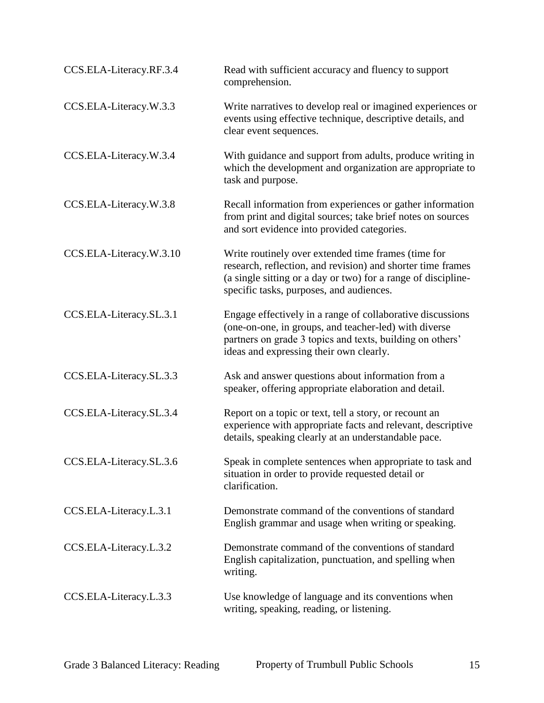| CCS.ELA-Literacy.RF.3.4 | Read with sufficient accuracy and fluency to support<br>comprehension.                                                                                                                                                          |
|-------------------------|---------------------------------------------------------------------------------------------------------------------------------------------------------------------------------------------------------------------------------|
| CCS.ELA-Literacy.W.3.3  | Write narratives to develop real or imagined experiences or<br>events using effective technique, descriptive details, and<br>clear event sequences.                                                                             |
| CCS.ELA-Literacy.W.3.4  | With guidance and support from adults, produce writing in<br>which the development and organization are appropriate to<br>task and purpose.                                                                                     |
| CCS.ELA-Literacy.W.3.8  | Recall information from experiences or gather information<br>from print and digital sources; take brief notes on sources<br>and sort evidence into provided categories.                                                         |
| CCS.ELA-Literacy.W.3.10 | Write routinely over extended time frames (time for<br>research, reflection, and revision) and shorter time frames<br>(a single sitting or a day or two) for a range of discipline-<br>specific tasks, purposes, and audiences. |
| CCS.ELA-Literacy.SL.3.1 | Engage effectively in a range of collaborative discussions<br>(one-on-one, in groups, and teacher-led) with diverse<br>partners on grade 3 topics and texts, building on others'<br>ideas and expressing their own clearly.     |
| CCS.ELA-Literacy.SL.3.3 | Ask and answer questions about information from a<br>speaker, offering appropriate elaboration and detail.                                                                                                                      |
| CCS.ELA-Literacy.SL.3.4 | Report on a topic or text, tell a story, or recount an<br>experience with appropriate facts and relevant, descriptive<br>details, speaking clearly at an understandable pace.                                                   |
| CCS.ELA-Literacy.SL.3.6 | Speak in complete sentences when appropriate to task and<br>situation in order to provide requested detail or<br>clarification.                                                                                                 |
| CCS.ELA-Literacy.L.3.1  | Demonstrate command of the conventions of standard<br>English grammar and usage when writing or speaking.                                                                                                                       |
| CCS.ELA-Literacy.L.3.2  | Demonstrate command of the conventions of standard<br>English capitalization, punctuation, and spelling when<br>writing.                                                                                                        |
| CCS.ELA-Literacy.L.3.3  | Use knowledge of language and its conventions when<br>writing, speaking, reading, or listening.                                                                                                                                 |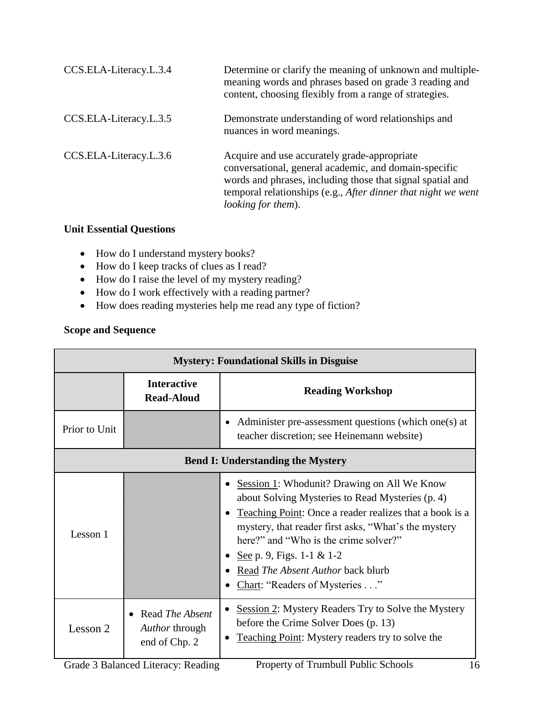| CCS.ELA-Literacy.L.3.4 | Determine or clarify the meaning of unknown and multiple-<br>meaning words and phrases based on grade 3 reading and<br>content, choosing flexibly from a range of strategies.                                                                                      |
|------------------------|--------------------------------------------------------------------------------------------------------------------------------------------------------------------------------------------------------------------------------------------------------------------|
| CCS.ELA-Literacy.L.3.5 | Demonstrate understanding of word relationships and<br>nuances in word meanings.                                                                                                                                                                                   |
| CCS.ELA-Literacy.L.3.6 | Acquire and use accurately grade-appropriate<br>conversational, general academic, and domain-specific<br>words and phrases, including those that signal spatial and<br>temporal relationships (e.g., After dinner that night we went<br><i>looking for them</i> ). |

#### **Unit Essential Questions**

- How do I understand mystery books?
- How do I keep tracks of clues as I read?
- How do I raise the level of my mystery reading?
- How do I work effectively with a reading partner?
- How does reading mysteries help me read any type of fiction?

| <b>Mystery: Foundational Skills in Disguise</b> |                                                    |                                                                                                                                                                                                                                                                                                                                                                |
|-------------------------------------------------|----------------------------------------------------|----------------------------------------------------------------------------------------------------------------------------------------------------------------------------------------------------------------------------------------------------------------------------------------------------------------------------------------------------------------|
|                                                 | <b>Interactive</b><br><b>Read-Aloud</b>            | <b>Reading Workshop</b>                                                                                                                                                                                                                                                                                                                                        |
| Prior to Unit                                   |                                                    | Administer pre-assessment questions (which one(s) at<br>teacher discretion; see Heinemann website)                                                                                                                                                                                                                                                             |
| <b>Bend I: Understanding the Mystery</b>        |                                                    |                                                                                                                                                                                                                                                                                                                                                                |
| Lesson 1                                        |                                                    | Session 1: Whodunit? Drawing on All We Know<br>about Solving Mysteries to Read Mysteries (p. 4)<br>Teaching Point: Once a reader realizes that a book is a<br>mystery, that reader first asks, "What's the mystery<br>here?" and "Who is the crime solver?"<br>See p. 9, Figs. 1-1 & 1-2<br>Read The Absent Author back blurb<br>Chart: "Readers of Mysteries" |
| Lesson 2                                        | Read The Absent<br>Author through<br>end of Chp. 2 | Session 2: Mystery Readers Try to Solve the Mystery<br>before the Crime Solver Does (p. 13)<br><b>Teaching Point:</b> Mystery readers try to solve the<br>$\bullet$                                                                                                                                                                                            |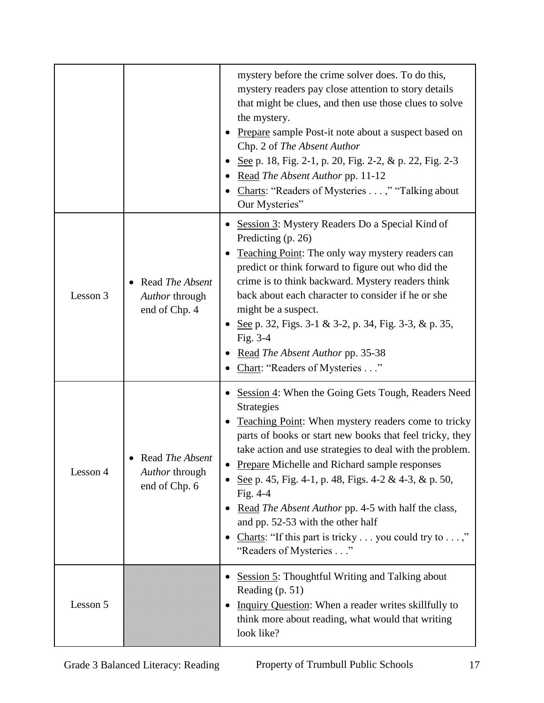|          |                                                    | mystery before the crime solver does. To do this,<br>mystery readers pay close attention to story details<br>that might be clues, and then use those clues to solve<br>the mystery.<br>Prepare sample Post-it note about a suspect based on<br>Chp. 2 of The Absent Author<br>See p. 18, Fig. 2-1, p. 20, Fig. 2-2, & p. 22, Fig. 2-3<br>Read The Absent Author pp. 11-12<br>Charts: "Readers of Mysteries ," "Talking about<br>Our Mysteries"                                                                                                                                   |
|----------|----------------------------------------------------|----------------------------------------------------------------------------------------------------------------------------------------------------------------------------------------------------------------------------------------------------------------------------------------------------------------------------------------------------------------------------------------------------------------------------------------------------------------------------------------------------------------------------------------------------------------------------------|
| Lesson 3 | Read The Absent<br>Author through<br>end of Chp. 4 | Session 3: Mystery Readers Do a Special Kind of<br>Predicting (p. 26)<br>Teaching Point: The only way mystery readers can<br>predict or think forward to figure out who did the<br>crime is to think backward. Mystery readers think<br>back about each character to consider if he or she<br>might be a suspect.<br>See p. 32, Figs. 3-1 & 3-2, p. 34, Fig. 3-3, & p. 35,<br>Fig. 3-4<br>Read The Absent Author pp. 35-38<br>Chart: "Readers of Mysteries"                                                                                                                      |
| Lesson 4 | Read The Absent<br>Author through<br>end of Chp. 6 | Session 4: When the Going Gets Tough, Readers Need<br><b>Strategies</b><br><b>Teaching Point:</b> When mystery readers come to tricky<br>parts of books or start new books that feel tricky, they<br>take action and use strategies to deal with the problem.<br>Prepare Michelle and Richard sample responses<br>See p. 45, Fig. 4-1, p. 48, Figs. 4-2 & 4-3, & p. 50,<br>Fig. 4-4<br>Read The Absent Author pp. 4-5 with half the class,<br>and pp. 52-53 with the other half<br>Charts: "If this part is tricky $\dots$ you could try to $\dots$ ,"<br>"Readers of Mysteries" |
| Lesson 5 |                                                    | <b>Session 5: Thoughtful Writing and Talking about</b><br>Reading (p. 51)<br>Inquiry Question: When a reader writes skillfully to<br>think more about reading, what would that writing<br>look like?                                                                                                                                                                                                                                                                                                                                                                             |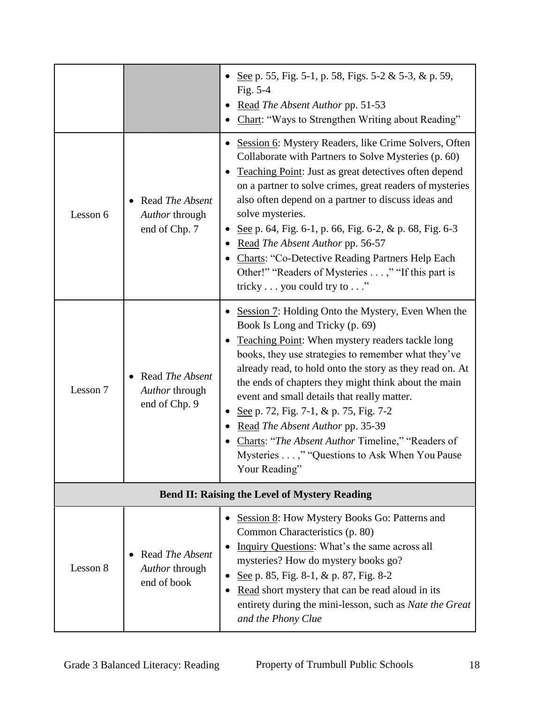|                                                      |                                                    | See p. 55, Fig. 5-1, p. 58, Figs. 5-2 & 5-3, & p. 59,<br>Fig. 5-4<br>Read The Absent Author pp. 51-53<br>Chart: "Ways to Strengthen Writing about Reading"                                                                                                                                                                                                                                                                                                                                                                                                                |
|------------------------------------------------------|----------------------------------------------------|---------------------------------------------------------------------------------------------------------------------------------------------------------------------------------------------------------------------------------------------------------------------------------------------------------------------------------------------------------------------------------------------------------------------------------------------------------------------------------------------------------------------------------------------------------------------------|
| Lesson 6                                             | Read The Absent<br>Author through<br>end of Chp. 7 | Session 6: Mystery Readers, like Crime Solvers, Often<br>Collaborate with Partners to Solve Mysteries (p. 60)<br>Teaching Point: Just as great detectives often depend<br>on a partner to solve crimes, great readers of mysteries<br>also often depend on a partner to discuss ideas and<br>solve mysteries.<br>See p. 64, Fig. 6-1, p. 66, Fig. 6-2, & p. 68, Fig. 6-3<br>Read The Absent Author pp. 56-57<br><b>Charts: "Co-Detective Reading Partners Help Each</b><br>Other!" "Readers of Mysteries ," "If this part is<br>tricky $\dots$ you could try to $\dots$ " |
| Lesson 7                                             | Read The Absent<br>Author through<br>end of Chp. 9 | Session 7: Holding Onto the Mystery, Even When the<br>Book Is Long and Tricky (p. 69)<br>Teaching Point: When mystery readers tackle long<br>books, they use strategies to remember what they've<br>already read, to hold onto the story as they read on. At<br>the ends of chapters they might think about the main<br>event and small details that really matter.<br>See p. 72, Fig. 7-1, & p. 75, Fig. 7-2<br>Read The Absent Author pp. 35-39<br>Charts: "The Absent Author Timeline," "Readers of<br>Mysteries ," "Questions to Ask When You Pause<br>Your Reading"  |
| <b>Bend II: Raising the Level of Mystery Reading</b> |                                                    |                                                                                                                                                                                                                                                                                                                                                                                                                                                                                                                                                                           |
| Lesson 8                                             | Read The Absent<br>Author through<br>end of book   | Session 8: How Mystery Books Go: Patterns and<br>Common Characteristics (p. 80)<br>Inquiry Questions: What's the same across all<br>mysteries? How do mystery books go?<br>See p. 85, Fig. 8-1, & p. 87, Fig. 8-2<br>Read short mystery that can be read aloud in its<br>entirety during the mini-lesson, such as Nate the Great<br>and the Phony Clue                                                                                                                                                                                                                    |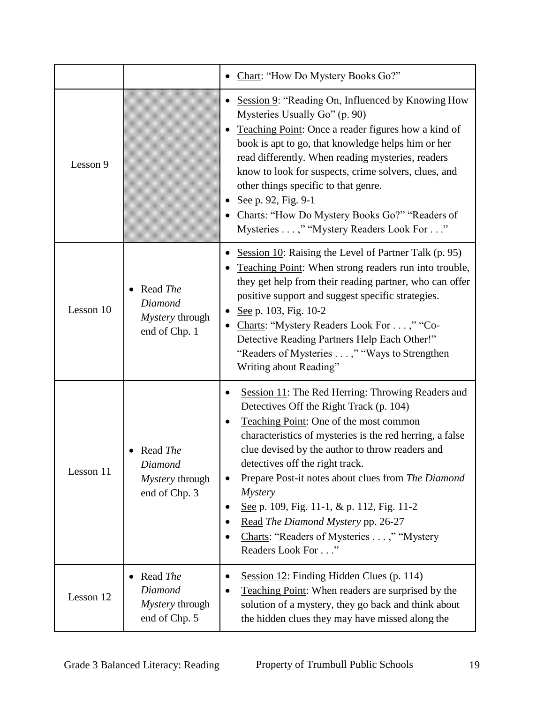|           |                                                         | Chart: "How Do Mystery Books Go?"                                                                                                                                                                                                                                                                                                                                                                                                                                                                                      |
|-----------|---------------------------------------------------------|------------------------------------------------------------------------------------------------------------------------------------------------------------------------------------------------------------------------------------------------------------------------------------------------------------------------------------------------------------------------------------------------------------------------------------------------------------------------------------------------------------------------|
| Lesson 9  |                                                         | Session 9: "Reading On, Influenced by Knowing How<br>Mysteries Usually Go" (p. 90)<br>Teaching Point: Once a reader figures how a kind of<br>book is apt to go, that knowledge helps him or her<br>read differently. When reading mysteries, readers<br>know to look for suspects, crime solvers, clues, and<br>other things specific to that genre.<br>See p. 92, Fig. 9-1<br>Charts: "How Do Mystery Books Go?" "Readers of<br>Mysteries ," "Mystery Readers Look For"                                               |
| Lesson 10 | Read The<br>Diamond<br>Mystery through<br>end of Chp. 1 | Session 10: Raising the Level of Partner Talk (p. 95)<br>Teaching Point: When strong readers run into trouble,<br>they get help from their reading partner, who can offer<br>positive support and suggest specific strategies.<br>See p. 103, Fig. 10-2<br>$\bullet$<br>Charts: "Mystery Readers Look For ," "Co-<br>Detective Reading Partners Help Each Other!"<br>"Readers of Mysteries ," "Ways to Strengthen"<br>Writing about Reading"                                                                           |
| Lesson 11 | Read The<br>Diamond<br>Mystery through<br>end of Chp. 3 | Session 11: The Red Herring: Throwing Readers and<br>Detectives Off the Right Track (p. 104)<br>Teaching Point: One of the most common<br>characteristics of mysteries is the red herring, a false<br>clue devised by the author to throw readers and<br>detectives off the right track.<br>Prepare Post-it notes about clues from The Diamond<br><i>Mystery</i><br>See p. 109, Fig. 11-1, & p. 112, Fig. 11-2<br>Read The Diamond Mystery pp. 26-27<br>Charts: "Readers of Mysteries ," "Mystery<br>Readers Look For" |
| Lesson 12 | Read The<br>Diamond<br>Mystery through<br>end of Chp. 5 | Session 12: Finding Hidden Clues (p. 114)<br>٠<br>Teaching Point: When readers are surprised by the<br>solution of a mystery, they go back and think about<br>the hidden clues they may have missed along the                                                                                                                                                                                                                                                                                                          |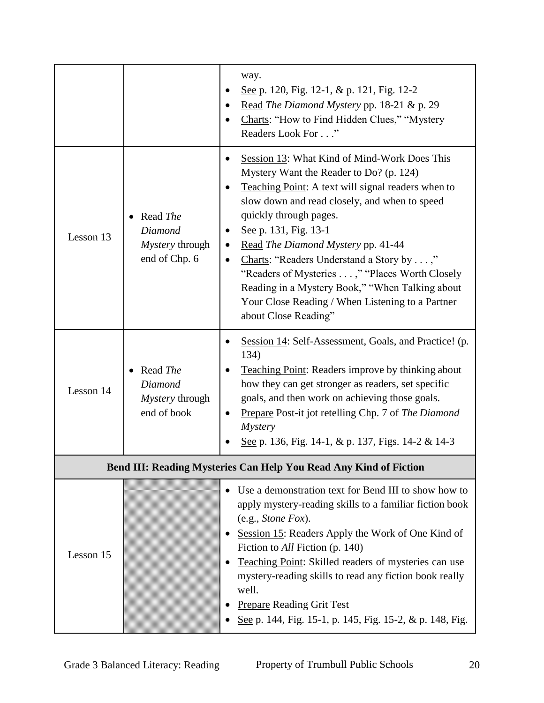|           |                                                         | way.<br>See p. 120, Fig. 12-1, & p. 121, Fig. 12-2<br>Read The Diamond Mystery pp. 18-21 & p. 29<br>Charts: "How to Find Hidden Clues," "Mystery<br>Readers Look For"                                                                                                                                                                                                                                                                                                                                                 |
|-----------|---------------------------------------------------------|-----------------------------------------------------------------------------------------------------------------------------------------------------------------------------------------------------------------------------------------------------------------------------------------------------------------------------------------------------------------------------------------------------------------------------------------------------------------------------------------------------------------------|
| Lesson 13 | Read The<br>Diamond<br>Mystery through<br>end of Chp. 6 | Session 13: What Kind of Mind-Work Does This<br>Mystery Want the Reader to Do? (p. 124)<br>Teaching Point: A text will signal readers when to<br>slow down and read closely, and when to speed<br>quickly through pages.<br>See p. 131, Fig. 13-1<br>Read The Diamond Mystery pp. 41-44<br>Charts: "Readers Understand a Story by ,"<br>"Readers of Mysteries ," "Places Worth Closely<br>Reading in a Mystery Book," "When Talking about<br>Your Close Reading / When Listening to a Partner<br>about Close Reading" |
| Lesson 14 | Read The<br>Diamond<br>Mystery through<br>end of book   | Session 14: Self-Assessment, Goals, and Practice! (p.<br>134)<br><b>Teaching Point: Readers improve by thinking about</b><br>how they can get stronger as readers, set specific<br>goals, and then work on achieving those goals.<br>Prepare Post-it jot retelling Chp. 7 of The Diamond<br><b>Mystery</b><br>See p. 136, Fig. 14-1, & p. 137, Figs. 14-2 & 14-3                                                                                                                                                      |
|           |                                                         | Bend III: Reading Mysteries Can Help You Read Any Kind of Fiction                                                                                                                                                                                                                                                                                                                                                                                                                                                     |
| Lesson 15 |                                                         | Use a demonstration text for Bend III to show how to<br>apply mystery-reading skills to a familiar fiction book<br>(e.g., Stone Fox).<br>Session 15: Readers Apply the Work of One Kind of<br>Fiction to All Fiction (p. 140)<br>Teaching Point: Skilled readers of mysteries can use<br>mystery-reading skills to read any fiction book really<br>well.<br><b>Prepare Reading Grit Test</b><br>See p. 144, Fig. 15-1, p. 145, Fig. 15-2, & p. 148, Fig.                                                              |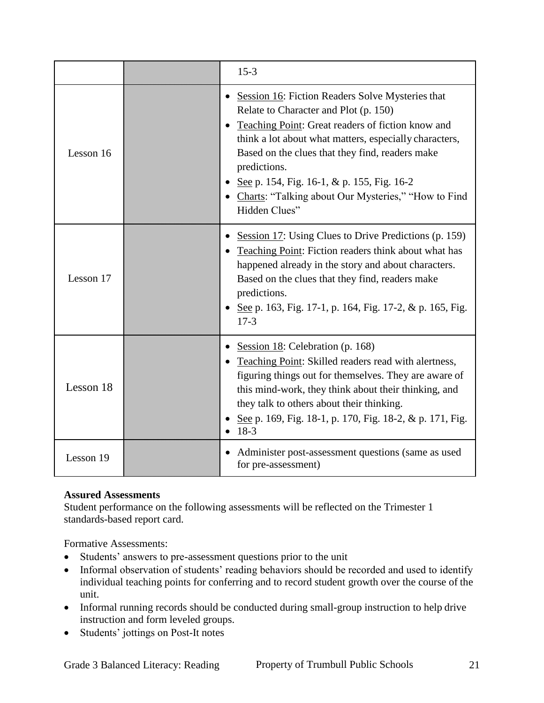|           | $15 - 3$                                                                                                                                                                                                                                                                                                                                                                                                           |
|-----------|--------------------------------------------------------------------------------------------------------------------------------------------------------------------------------------------------------------------------------------------------------------------------------------------------------------------------------------------------------------------------------------------------------------------|
| Lesson 16 | • Session 16: Fiction Readers Solve Mysteries that<br>Relate to Character and Plot (p. 150)<br>Teaching Point: Great readers of fiction know and<br>$\bullet$<br>think a lot about what matters, especially characters,<br>Based on the clues that they find, readers make<br>predictions.<br>See p. 154, Fig. 16-1, & p. 155, Fig. 16-2<br>• Charts: "Talking about Our Mysteries," "How to Find<br>Hidden Clues" |
| Lesson 17 | Session 17: Using Clues to Drive Predictions (p. 159)<br>Teaching Point: Fiction readers think about what has<br>happened already in the story and about characters.<br>Based on the clues that they find, readers make<br>predictions.<br>• See p. 163, Fig. 17-1, p. 164, Fig. 17-2, & p. 165, Fig.<br>$17-3$                                                                                                    |
| Lesson 18 | Session 18: Celebration (p. 168)<br>Teaching Point: Skilled readers read with alertness,<br>figuring things out for themselves. They are aware of<br>this mind-work, they think about their thinking, and<br>they talk to others about their thinking.<br>• See p. 169, Fig. 18-1, p. 170, Fig. 18-2, & p. 171, Fig.<br>18-3                                                                                       |
| Lesson 19 | Administer post-assessment questions (same as used<br>for pre-assessment)                                                                                                                                                                                                                                                                                                                                          |

Student performance on the following assessments will be reflected on the Trimester 1 standards-based report card.

Formative Assessments:

- Students' answers to pre-assessment questions prior to the unit
- Informal observation of students' reading behaviors should be recorded and used to identify individual teaching points for conferring and to record student growth over the course of the unit.
- Informal running records should be conducted during small-group instruction to help drive instruction and form leveled groups.
- Students' jottings on Post-It notes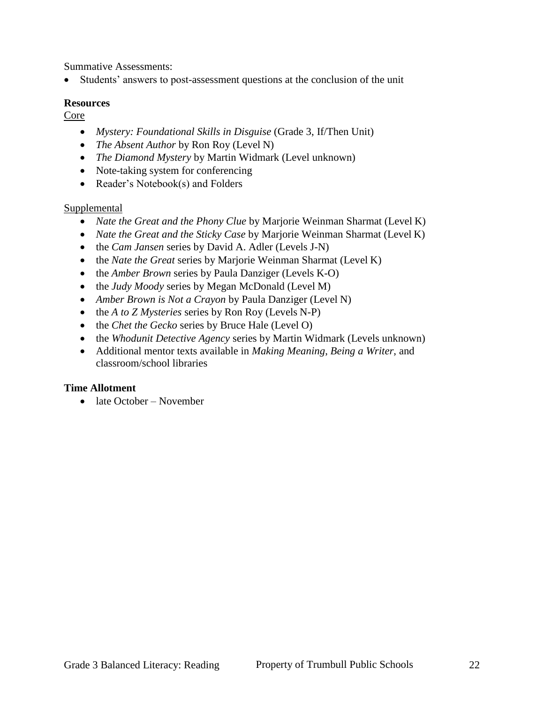Summative Assessments:

Students' answers to post-assessment questions at the conclusion of the unit

#### **Resources**

Core

- *Mystery: Foundational Skills in Disguise* (Grade 3, If/Then Unit)
- *The Absent Author* by Ron Roy (Level N)
- *The Diamond Mystery* by Martin Widmark (Level unknown)
- Note-taking system for conferencing
- Reader's Notebook(s) and Folders

#### Supplemental

- *Nate the Great and the Phony Clue* by Marjorie Weinman Sharmat (Level K)
- *Nate the Great and the Sticky Case* by Marjorie Weinman Sharmat (Level K)
- the *Cam Jansen* series by David A. Adler (Levels J-N)
- the *Nate the Great* series by Marjorie Weinman Sharmat (Level K)
- the *Amber Brown* series by Paula Danziger (Levels K-O)
- the *Judy Moody* series by Megan McDonald (Level M)
- *Amber Brown is Not a Crayon* by Paula Danziger (Level N)
- the *A to Z Mysteries* series by Ron Roy (Levels N-P)
- the *Chet the Gecko* series by Bruce Hale (Level O)
- the *Whodunit Detective Agency* series by Martin Widmark (Levels unknown)
- Additional mentor texts available in *Making Meaning*, *Being a Writer*, and classroom/school libraries

#### **Time Allotment**

• late October – November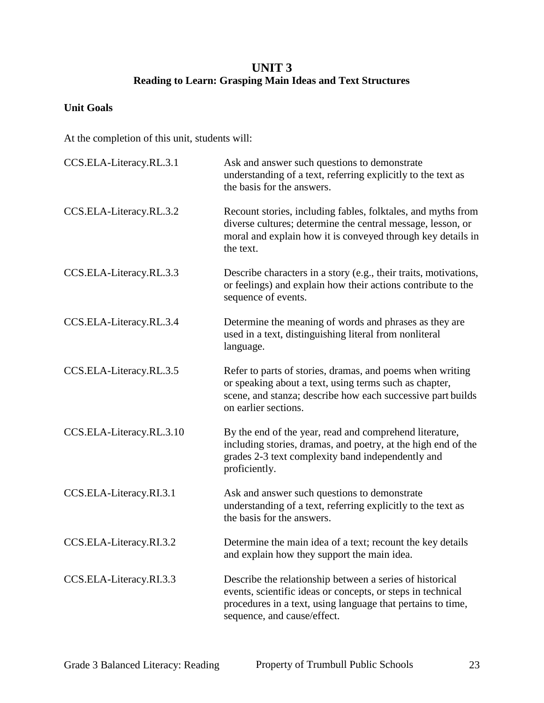## **UNIT 3 Reading to Learn: Grasping Main Ideas and Text Structures**

#### **Unit Goals**

| CCS.ELA-Literacy.RL.3.1  | Ask and answer such questions to demonstrate<br>understanding of a text, referring explicitly to the text as<br>the basis for the answers.                                                                            |
|--------------------------|-----------------------------------------------------------------------------------------------------------------------------------------------------------------------------------------------------------------------|
| CCS.ELA-Literacy.RL.3.2  | Recount stories, including fables, folktales, and myths from<br>diverse cultures; determine the central message, lesson, or<br>moral and explain how it is conveyed through key details in<br>the text.               |
| CCS.ELA-Literacy.RL.3.3  | Describe characters in a story (e.g., their traits, motivations,<br>or feelings) and explain how their actions contribute to the<br>sequence of events.                                                               |
| CCS.ELA-Literacy.RL.3.4  | Determine the meaning of words and phrases as they are<br>used in a text, distinguishing literal from nonliteral<br>language.                                                                                         |
| CCS.ELA-Literacy.RL.3.5  | Refer to parts of stories, dramas, and poems when writing<br>or speaking about a text, using terms such as chapter,<br>scene, and stanza; describe how each successive part builds<br>on earlier sections.            |
| CCS.ELA-Literacy.RL.3.10 | By the end of the year, read and comprehend literature,<br>including stories, dramas, and poetry, at the high end of the<br>grades 2-3 text complexity band independently and<br>proficiently.                        |
| CCS.ELA-Literacy.RI.3.1  | Ask and answer such questions to demonstrate<br>understanding of a text, referring explicitly to the text as<br>the basis for the answers.                                                                            |
| CCS.ELA-Literacy.RI.3.2  | Determine the main idea of a text; recount the key details<br>and explain how they support the main idea.                                                                                                             |
| CCS.ELA-Literacy.RI.3.3  | Describe the relationship between a series of historical<br>events, scientific ideas or concepts, or steps in technical<br>procedures in a text, using language that pertains to time,<br>sequence, and cause/effect. |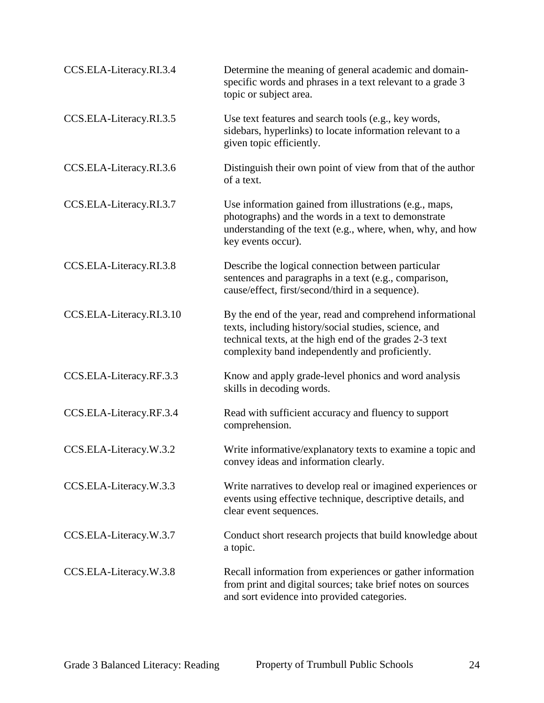| CCS.ELA-Literacy.RI.3.4  | Determine the meaning of general academic and domain-<br>specific words and phrases in a text relevant to a grade 3<br>topic or subject area.                                                                                    |
|--------------------------|----------------------------------------------------------------------------------------------------------------------------------------------------------------------------------------------------------------------------------|
| CCS.ELA-Literacy.RI.3.5  | Use text features and search tools (e.g., key words,<br>sidebars, hyperlinks) to locate information relevant to a<br>given topic efficiently.                                                                                    |
| CCS.ELA-Literacy.RI.3.6  | Distinguish their own point of view from that of the author<br>of a text.                                                                                                                                                        |
| CCS.ELA-Literacy.RI.3.7  | Use information gained from illustrations (e.g., maps,<br>photographs) and the words in a text to demonstrate<br>understanding of the text (e.g., where, when, why, and how<br>key events occur).                                |
| CCS.ELA-Literacy.RI.3.8  | Describe the logical connection between particular<br>sentences and paragraphs in a text (e.g., comparison,<br>cause/effect, first/second/third in a sequence).                                                                  |
| CCS.ELA-Literacy.RI.3.10 | By the end of the year, read and comprehend informational<br>texts, including history/social studies, science, and<br>technical texts, at the high end of the grades 2-3 text<br>complexity band independently and proficiently. |
| CCS.ELA-Literacy.RF.3.3  | Know and apply grade-level phonics and word analysis<br>skills in decoding words.                                                                                                                                                |
| CCS.ELA-Literacy.RF.3.4  | Read with sufficient accuracy and fluency to support<br>comprehension.                                                                                                                                                           |
| CCS.ELA-Literacy.W.3.2   | Write informative/explanatory texts to examine a topic and<br>convey ideas and information clearly.                                                                                                                              |
| CCS.ELA-Literacy.W.3.3   | Write narratives to develop real or imagined experiences or<br>events using effective technique, descriptive details, and<br>clear event sequences.                                                                              |
| CCS.ELA-Literacy.W.3.7   | Conduct short research projects that build knowledge about<br>a topic.                                                                                                                                                           |
| CCS.ELA-Literacy.W.3.8   | Recall information from experiences or gather information<br>from print and digital sources; take brief notes on sources<br>and sort evidence into provided categories.                                                          |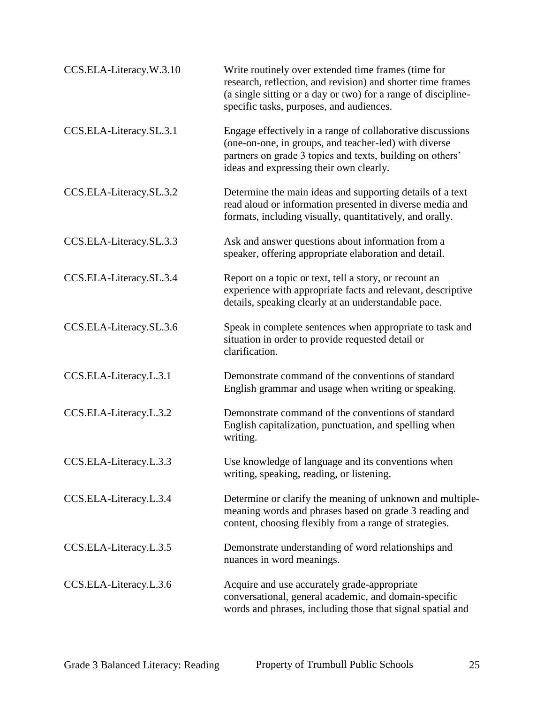| CCS.ELA-Literacy.W.3.10 | Write routinely over extended time frames (time for<br>research, reflection, and revision) and shorter time frames<br>(a single sitting or a day or two) for a range of discipline-<br>specific tasks, purposes, and audiences. |
|-------------------------|---------------------------------------------------------------------------------------------------------------------------------------------------------------------------------------------------------------------------------|
| CCS.ELA-Literacy.SL.3.1 | Engage effectively in a range of collaborative discussions<br>(one-on-one, in groups, and teacher-led) with diverse<br>partners on grade 3 topics and texts, building on others'<br>ideas and expressing their own clearly.     |
| CCS.ELA-Literacy.SL.3.2 | Determine the main ideas and supporting details of a text<br>read aloud or information presented in diverse media and<br>formats, including visually, quantitatively, and orally.                                               |
| CCS.ELA-Literacy.SL.3.3 | Ask and answer questions about information from a<br>speaker, offering appropriate elaboration and detail.                                                                                                                      |
| CCS.ELA-Literacy.SL.3.4 | Report on a topic or text, tell a story, or recount an<br>experience with appropriate facts and relevant, descriptive<br>details, speaking clearly at an understandable pace.                                                   |
| CCS.ELA-Literacy.SL.3.6 | Speak in complete sentences when appropriate to task and<br>situation in order to provide requested detail or<br>clarification.                                                                                                 |
| CCS.ELA-Literacy.L.3.1  | Demonstrate command of the conventions of standard<br>English grammar and usage when writing or speaking.                                                                                                                       |
| CCS.ELA-Literacy.L.3.2  | Demonstrate command of the conventions of standard<br>English capitalization, punctuation, and spelling when<br>writing.                                                                                                        |
| CCS.ELA-Literacy.L.3.3  | Use knowledge of language and its conventions when<br>writing, speaking, reading, or listening.                                                                                                                                 |
| CCS.ELA-Literacy.L.3.4  | Determine or clarify the meaning of unknown and multiple-<br>meaning words and phrases based on grade 3 reading and<br>content, choosing flexibly from a range of strategies.                                                   |
| CCS.ELA-Literacy.L.3.5  | Demonstrate understanding of word relationships and<br>nuances in word meanings.                                                                                                                                                |
| CCS.ELA-Literacy.L.3.6  | Acquire and use accurately grade-appropriate<br>conversational, general academic, and domain-specific<br>words and phrases, including those that signal spatial and                                                             |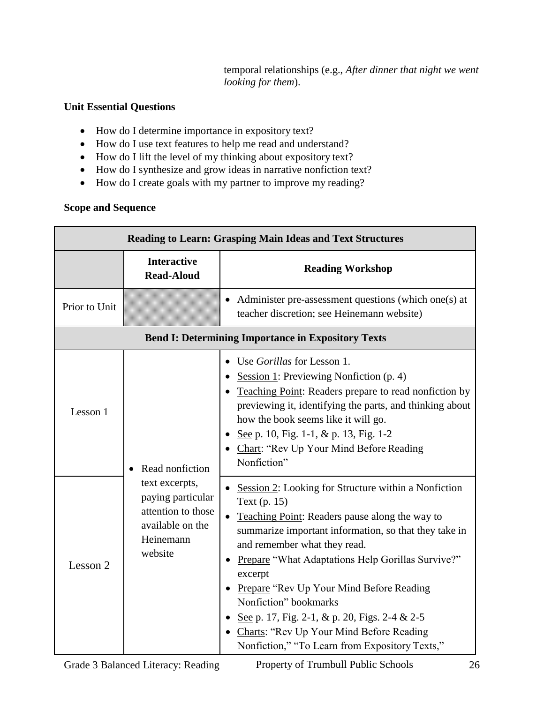temporal relationships (e.g., *After dinner that night we went looking for them*).

## **Unit Essential Questions**

- How do I determine importance in expository text?
- How do I use text features to help me read and understand?
- How do I lift the level of my thinking about expository text?
- How do I synthesize and grow ideas in narrative nonfiction text?
- How do I create goals with my partner to improve my reading?

| <b>Reading to Learn: Grasping Main Ideas and Text Structures</b> |                                                                                                       |                                                                                                                                                                                                                                                                                                                                                                                                                                                                                                                   |  |  |
|------------------------------------------------------------------|-------------------------------------------------------------------------------------------------------|-------------------------------------------------------------------------------------------------------------------------------------------------------------------------------------------------------------------------------------------------------------------------------------------------------------------------------------------------------------------------------------------------------------------------------------------------------------------------------------------------------------------|--|--|
|                                                                  | <b>Interactive</b><br><b>Read-Aloud</b>                                                               | <b>Reading Workshop</b>                                                                                                                                                                                                                                                                                                                                                                                                                                                                                           |  |  |
| Prior to Unit                                                    |                                                                                                       | Administer pre-assessment questions (which one(s) at<br>teacher discretion; see Heinemann website)                                                                                                                                                                                                                                                                                                                                                                                                                |  |  |
|                                                                  | <b>Bend I: Determining Importance in Expository Texts</b>                                             |                                                                                                                                                                                                                                                                                                                                                                                                                                                                                                                   |  |  |
| Lesson 1                                                         | Read nonfiction                                                                                       | Use <i>Gorillas</i> for Lesson 1.<br>Session 1: Previewing Nonfiction $(p. 4)$<br>Teaching Point: Readers prepare to read nonfiction by<br>previewing it, identifying the parts, and thinking about<br>how the book seems like it will go.<br>See p. 10, Fig. 1-1, & p. 13, Fig. 1-2<br>Chart: "Rev Up Your Mind Before Reading<br>Nonfiction"                                                                                                                                                                    |  |  |
| Lesson 2                                                         | text excerpts,<br>paying particular<br>attention to those<br>available on the<br>Heinemann<br>website | Session 2: Looking for Structure within a Nonfiction<br>Text (p. 15)<br>Teaching Point: Readers pause along the way to<br>$\bullet$<br>summarize important information, so that they take in<br>and remember what they read.<br>Prepare "What Adaptations Help Gorillas Survive?"<br>excerpt<br>Prepare "Rev Up Your Mind Before Reading"<br>Nonfiction" bookmarks<br>See p. 17, Fig. 2-1, & p. 20, Figs. 2-4 & 2-5<br>Charts: "Rev Up Your Mind Before Reading<br>Nonfiction," "To Learn from Expository Texts," |  |  |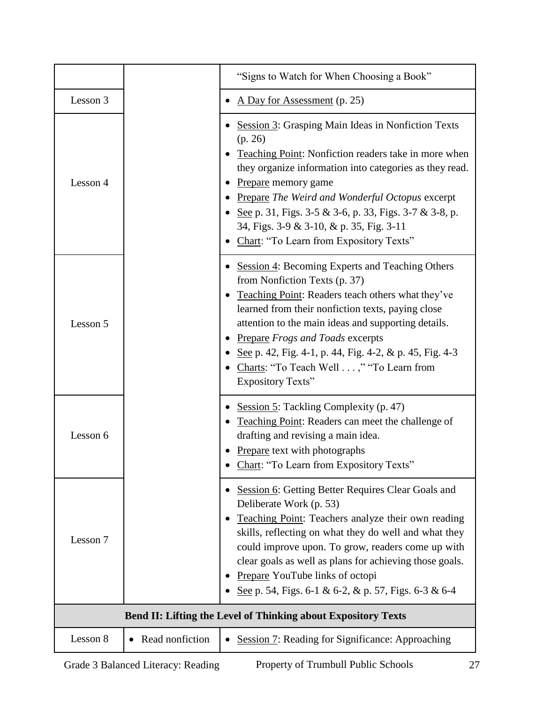|                                                                      |                 | "Signs to Watch for When Choosing a Book"                                                                                                                                                                                                                                                                                                                                                                                              |
|----------------------------------------------------------------------|-----------------|----------------------------------------------------------------------------------------------------------------------------------------------------------------------------------------------------------------------------------------------------------------------------------------------------------------------------------------------------------------------------------------------------------------------------------------|
| Lesson 3                                                             |                 | A Day for Assessment (p. 25)                                                                                                                                                                                                                                                                                                                                                                                                           |
| Lesson 4                                                             |                 | <b>Session 3: Grasping Main Ideas in Nonfiction Texts</b><br>(p. 26)<br>Teaching Point: Nonfiction readers take in more when<br>they organize information into categories as they read.<br>Prepare memory game<br><b>Prepare The Weird and Wonderful Octopus excerpt</b><br>• See p. 31, Figs. 3-5 & 3-6, p. 33, Figs. 3-7 & 3-8, p.<br>34, Figs. 3-9 & 3-10, & p. 35, Fig. 3-11<br>Chart: "To Learn from Expository Texts"            |
| Lesson 5                                                             |                 | <b>Session 4: Becoming Experts and Teaching Others</b><br>from Nonfiction Texts (p. 37)<br>Teaching Point: Readers teach others what they've<br>learned from their nonfiction texts, paying close<br>attention to the main ideas and supporting details.<br><b>Prepare Frogs and Toads excerpts</b><br>See p. 42, Fig. 4-1, p. 44, Fig. 4-2, & p. 45, Fig. 4-3<br>Charts: "To Teach Well ," "To Learn from<br><b>Expository Texts"</b> |
| Lesson 6                                                             |                 | Session 5: Tackling Complexity (p. 47)<br>Teaching Point: Readers can meet the challenge of<br>drafting and revising a main idea.<br>Prepare text with photographs<br>Chart: "To Learn from Expository Texts"                                                                                                                                                                                                                          |
| Lesson 7                                                             |                 | Session 6: Getting Better Requires Clear Goals and<br>Deliberate Work (p. 53)<br>Teaching Point: Teachers analyze their own reading<br>skills, reflecting on what they do well and what they<br>could improve upon. To grow, readers come up with<br>clear goals as well as plans for achieving those goals.<br>Prepare YouTube links of octopi<br>See p. 54, Figs. 6-1 & 6-2, & p. 57, Figs. 6-3 & 6-4                                |
| <b>Bend II: Lifting the Level of Thinking about Expository Texts</b> |                 |                                                                                                                                                                                                                                                                                                                                                                                                                                        |
| Lesson 8                                                             | Read nonfiction | <b>Session 7: Reading for Significance: Approaching</b>                                                                                                                                                                                                                                                                                                                                                                                |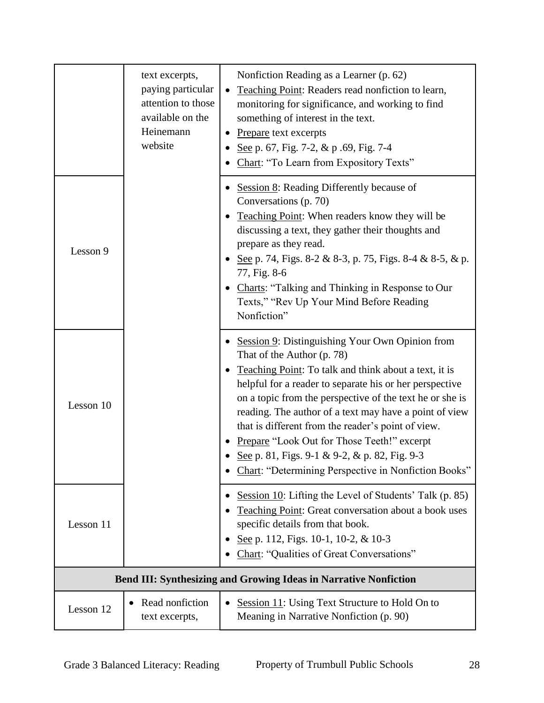|                                                                         | text excerpts,<br>paying particular<br>attention to those<br>available on the<br>Heinemann<br>website | Nonfiction Reading as a Learner (p. 62)<br>Teaching Point: Readers read nonfiction to learn,<br>monitoring for significance, and working to find<br>something of interest in the text.<br>Prepare text excerpts<br>See p. 67, Fig. 7-2, & p. 69, Fig. 7-4<br>Chart: "To Learn from Expository Texts"                                                                                                                                                                                                                                  |
|-------------------------------------------------------------------------|-------------------------------------------------------------------------------------------------------|---------------------------------------------------------------------------------------------------------------------------------------------------------------------------------------------------------------------------------------------------------------------------------------------------------------------------------------------------------------------------------------------------------------------------------------------------------------------------------------------------------------------------------------|
| Lesson 9                                                                |                                                                                                       | Session 8: Reading Differently because of<br>Conversations (p. 70)<br>Teaching Point: When readers know they will be<br>discussing a text, they gather their thoughts and<br>prepare as they read.<br>See p. 74, Figs. 8-2 & 8-3, p. 75, Figs. 8-4 & 8-5, & p.<br>77, Fig. 8-6<br>Charts: "Talking and Thinking in Response to Our<br>Texts," "Rev Up Your Mind Before Reading<br>Nonfiction"                                                                                                                                         |
| Lesson 10                                                               |                                                                                                       | Session 9: Distinguishing Your Own Opinion from<br>That of the Author (p. 78)<br>Teaching Point: To talk and think about a text, it is<br>helpful for a reader to separate his or her perspective<br>on a topic from the perspective of the text he or she is<br>reading. The author of a text may have a point of view<br>that is different from the reader's point of view.<br>Prepare "Look Out for Those Teeth!" excerpt<br>See p. 81, Figs. 9-1 & 9-2, & p. 82, Fig. 9-3<br>Chart: "Determining Perspective in Nonfiction Books" |
| Lesson 11                                                               |                                                                                                       | Session 10: Lifting the Level of Students' Talk (p. 85)<br>Teaching Point: Great conversation about a book uses<br>specific details from that book.<br>See p. 112, Figs. 10-1, 10-2, & 10-3<br>Chart: "Qualities of Great Conversations"                                                                                                                                                                                                                                                                                              |
| <b>Bend III: Synthesizing and Growing Ideas in Narrative Nonfiction</b> |                                                                                                       |                                                                                                                                                                                                                                                                                                                                                                                                                                                                                                                                       |
| Lesson 12                                                               | Read nonfiction<br>$\bullet$<br>text excerpts,                                                        | <b>Session 11:</b> Using Text Structure to Hold On to<br>$\bullet$<br>Meaning in Narrative Nonfiction (p. 90)                                                                                                                                                                                                                                                                                                                                                                                                                         |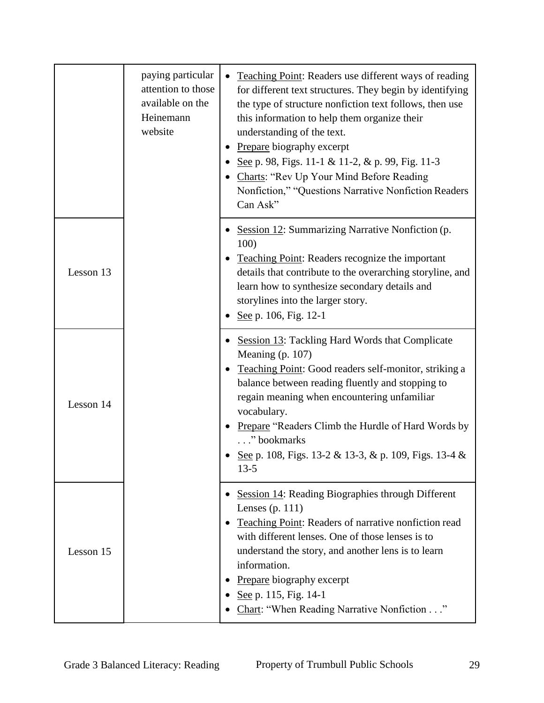|           | paying particular<br>attention to those<br>available on the<br>Heinemann<br>website | Teaching Point: Readers use different ways of reading<br>for different text structures. They begin by identifying<br>the type of structure nonfiction text follows, then use<br>this information to help them organize their<br>understanding of the text.<br>Prepare biography excerpt<br>See p. 98, Figs. 11-1 & 11-2, & p. 99, Fig. 11-3<br>Charts: "Rev Up Your Mind Before Reading<br>Nonfiction," "Questions Narrative Nonfiction Readers<br>Can Ask" |
|-----------|-------------------------------------------------------------------------------------|-------------------------------------------------------------------------------------------------------------------------------------------------------------------------------------------------------------------------------------------------------------------------------------------------------------------------------------------------------------------------------------------------------------------------------------------------------------|
| Lesson 13 |                                                                                     | Session 12: Summarizing Narrative Nonfiction (p.<br>100)<br><b>Teaching Point:</b> Readers recognize the important<br>details that contribute to the overarching storyline, and<br>learn how to synthesize secondary details and<br>storylines into the larger story.<br>See p. 106, Fig. 12-1                                                                                                                                                              |
| Lesson 14 |                                                                                     | <b>Session 13: Tackling Hard Words that Complicate</b><br>Meaning (p. 107)<br>Teaching Point: Good readers self-monitor, striking a<br>balance between reading fluently and stopping to<br>regain meaning when encountering unfamiliar<br>vocabulary.<br>Prepare "Readers Climb the Hurdle of Hard Words by<br>" bookmarks<br>See p. 108, Figs. 13-2 & 13-3, & p. 109, Figs. 13-4 &<br>$13 - 5$                                                             |
| Lesson 15 |                                                                                     | Session 14: Reading Biographies through Different<br>Lenses (p. $111$ )<br>Teaching Point: Readers of narrative nonfiction read<br>with different lenses. One of those lenses is to<br>understand the story, and another lens is to learn<br>information.<br>Prepare biography excerpt<br>See p. 115, Fig. 14-1<br>Chart: "When Reading Narrative Nonfiction"                                                                                               |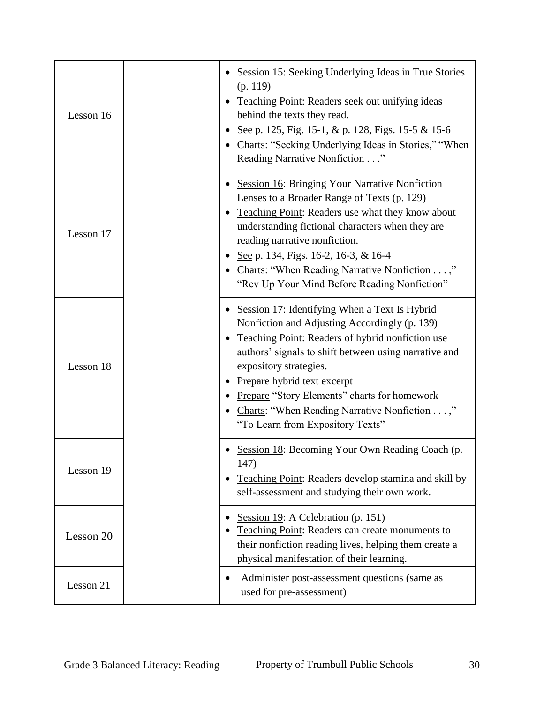| Lesson 16 | <b>Session 15: Seeking Underlying Ideas in True Stories</b><br>(p. 119)<br>Teaching Point: Readers seek out unifying ideas<br>behind the texts they read.<br>See p. 125, Fig. 15-1, & p. 128, Figs. 15-5 & 15-6<br>Charts: "Seeking Underlying Ideas in Stories," "When<br>Reading Narrative Nonfiction"                                                                                                         |
|-----------|------------------------------------------------------------------------------------------------------------------------------------------------------------------------------------------------------------------------------------------------------------------------------------------------------------------------------------------------------------------------------------------------------------------|
| Lesson 17 | <b>Session 16: Bringing Your Narrative Nonfiction</b><br>Lenses to a Broader Range of Texts (p. 129)<br>Teaching Point: Readers use what they know about<br>understanding fictional characters when they are<br>reading narrative nonfiction.<br>See p. 134, Figs. 16-2, 16-3, & 16-4<br>Charts: "When Reading Narrative Nonfiction ,"<br>"Rev Up Your Mind Before Reading Nonfiction"                           |
| Lesson 18 | Session 17: Identifying When a Text Is Hybrid<br>Nonfiction and Adjusting Accordingly (p. 139)<br>Teaching Point: Readers of hybrid nonfiction use<br>authors' signals to shift between using narrative and<br>expository strategies.<br>Prepare hybrid text excerpt<br><b>Prepare "Story Elements" charts for homework</b><br>Charts: "When Reading Narrative Nonfiction ,"<br>"To Learn from Expository Texts" |
| Lesson 19 | Session 18: Becoming Your Own Reading Coach (p.<br>147)<br>Teaching Point: Readers develop stamina and skill by<br>self-assessment and studying their own work.                                                                                                                                                                                                                                                  |
| Lesson 20 | Session 19: A Celebration (p. 151)<br>Teaching Point: Readers can create monuments to<br>their nonfiction reading lives, helping them create a<br>physical manifestation of their learning.                                                                                                                                                                                                                      |
| Lesson 21 | Administer post-assessment questions (same as<br>٠<br>used for pre-assessment)                                                                                                                                                                                                                                                                                                                                   |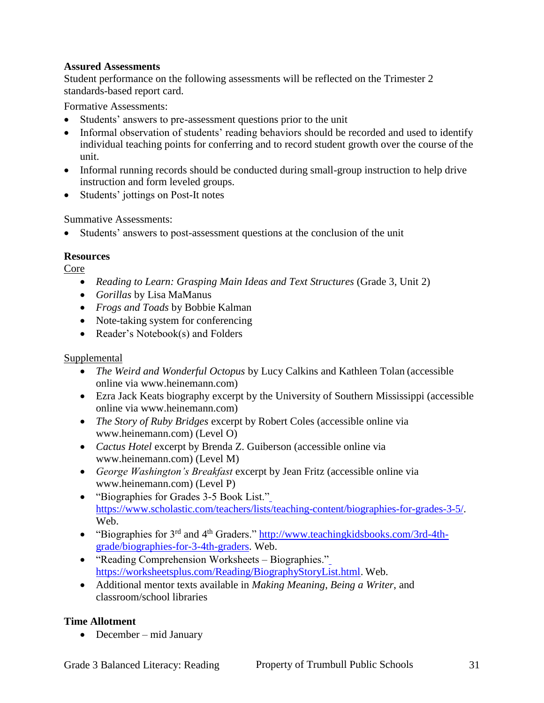Student performance on the following assessments will be reflected on the Trimester 2 standards-based report card.

Formative Assessments:

- Students' answers to pre-assessment questions prior to the unit
- Informal observation of students' reading behaviors should be recorded and used to identify individual teaching points for conferring and to record student growth over the course of the unit.
- Informal running records should be conducted during small-group instruction to help drive instruction and form leveled groups.
- Students' jottings on Post-It notes

Summative Assessments:

Students' answers to post-assessment questions at the conclusion of the unit

#### **Resources**

Core

- *Reading to Learn: Grasping Main Ideas and Text Structures* (Grade 3, Unit 2)
- *Gorillas* by Lisa MaManus
- *Frogs and Toads* by Bobbie Kalman
- Note-taking system for conferencing
- Reader's Notebook(s) and Folders

#### Supplemental

- *The Weird and Wonderful Octopus* by Lucy Calkins and Kathleen Tolan (accessible online via www.heinemann.com)
- Ezra Jack Keats biography excerpt by the University of Southern Mississippi (accessible online via www.heinemann.com)
- *The Story of Ruby Bridges* excerpt by Robert Coles (accessible online via www.heinemann.com) (Level O)
- *Cactus Hotel* excerpt by Brenda Z. Guiberson (accessible online via www.heinemann.com) (Level M)
- *George Washington's Breakfast* excerpt by Jean Fritz (accessible online via www.heinemann.com) (Level P)
- "Biographies for Grades 3-5 Book List." [https://www.scholastic.com/teachers/lists/teaching-content/biographies-for-grades-3-5/.](https://www.scholastic.com/teachers/lists/teaching-content/biographies-for-grades-3-5/) Web.
- $\bullet$  "Biographies for 3<sup>rd</sup> and 4<sup>th</sup> Graders." [http://www.teachingkidsbooks.com/3rd-4th](http://www.teachingkidsbooks.com/3rd-4th-grade/biographies-for-3-4th-graders)[grade/biographies-for-3-4th-graders.](http://www.teachingkidsbooks.com/3rd-4th-grade/biographies-for-3-4th-graders) Web.
- "Reading Comprehension Worksheets Biographies." [https://worksheetsplus.com/Reading/BiographyStoryList.html.](https://worksheetsplus.com/Reading/BiographyStoryList.html) Web.
- Additional mentor texts available in *Making Meaning*, *Being a Writer*, and classroom/school libraries

#### **Time Allotment**

• December – mid January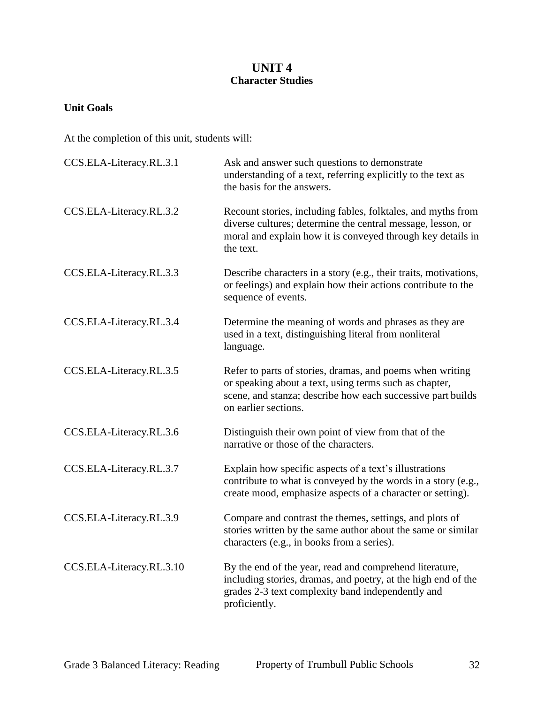## **UNIT 4 Character Studies**

#### **Unit Goals**

| CCS.ELA-Literacy.RL.3.1  | Ask and answer such questions to demonstrate<br>understanding of a text, referring explicitly to the text as<br>the basis for the answers.                                                                 |
|--------------------------|------------------------------------------------------------------------------------------------------------------------------------------------------------------------------------------------------------|
| CCS.ELA-Literacy.RL.3.2  | Recount stories, including fables, folktales, and myths from<br>diverse cultures; determine the central message, lesson, or<br>moral and explain how it is conveyed through key details in<br>the text.    |
| CCS.ELA-Literacy.RL.3.3  | Describe characters in a story (e.g., their traits, motivations,<br>or feelings) and explain how their actions contribute to the<br>sequence of events.                                                    |
| CCS.ELA-Literacy.RL.3.4  | Determine the meaning of words and phrases as they are<br>used in a text, distinguishing literal from nonliteral<br>language.                                                                              |
| CCS.ELA-Literacy.RL.3.5  | Refer to parts of stories, dramas, and poems when writing<br>or speaking about a text, using terms such as chapter,<br>scene, and stanza; describe how each successive part builds<br>on earlier sections. |
| CCS.ELA-Literacy.RL.3.6  | Distinguish their own point of view from that of the<br>narrative or those of the characters.                                                                                                              |
| CCS.ELA-Literacy.RL.3.7  | Explain how specific aspects of a text's illustrations<br>contribute to what is conveyed by the words in a story (e.g.,<br>create mood, emphasize aspects of a character or setting).                      |
| CCS.ELA-Literacy.RL.3.9  | Compare and contrast the themes, settings, and plots of<br>stories written by the same author about the same or similar<br>characters (e.g., in books from a series).                                      |
| CCS.ELA-Literacy.RL.3.10 | By the end of the year, read and comprehend literature,<br>including stories, dramas, and poetry, at the high end of the<br>grades 2-3 text complexity band independently and<br>proficiently.             |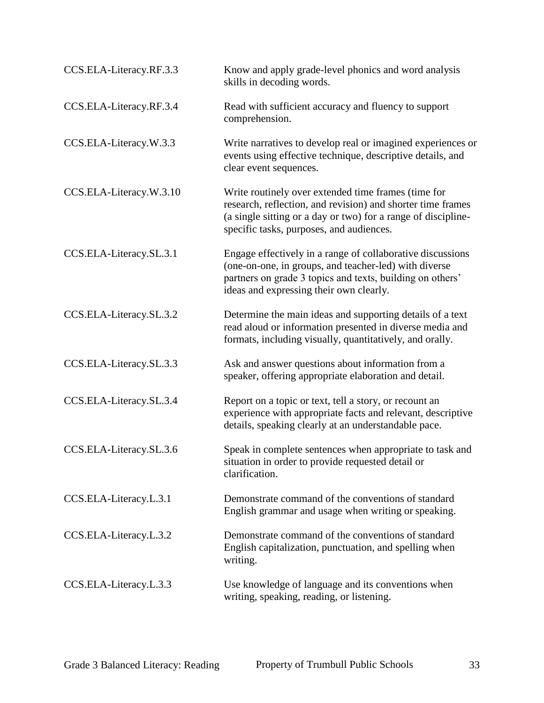| CCS.ELA-Literacy.RF.3.3 | Know and apply grade-level phonics and word analysis<br>skills in decoding words.                                                                                                                                               |
|-------------------------|---------------------------------------------------------------------------------------------------------------------------------------------------------------------------------------------------------------------------------|
| CCS.ELA-Literacy.RF.3.4 | Read with sufficient accuracy and fluency to support<br>comprehension.                                                                                                                                                          |
| CCS.ELA-Literacy.W.3.3  | Write narratives to develop real or imagined experiences or<br>events using effective technique, descriptive details, and<br>clear event sequences.                                                                             |
| CCS.ELA-Literacy.W.3.10 | Write routinely over extended time frames (time for<br>research, reflection, and revision) and shorter time frames<br>(a single sitting or a day or two) for a range of discipline-<br>specific tasks, purposes, and audiences. |
| CCS.ELA-Literacy.SL.3.1 | Engage effectively in a range of collaborative discussions<br>(one-on-one, in groups, and teacher-led) with diverse<br>partners on grade 3 topics and texts, building on others'<br>ideas and expressing their own clearly.     |
| CCS.ELA-Literacy.SL.3.2 | Determine the main ideas and supporting details of a text<br>read aloud or information presented in diverse media and<br>formats, including visually, quantitatively, and orally.                                               |
| CCS.ELA-Literacy.SL.3.3 | Ask and answer questions about information from a<br>speaker, offering appropriate elaboration and detail.                                                                                                                      |
| CCS.ELA-Literacy.SL.3.4 | Report on a topic or text, tell a story, or recount an<br>experience with appropriate facts and relevant, descriptive<br>details, speaking clearly at an understandable pace.                                                   |
| CCS.ELA-Literacy.SL.3.6 | Speak in complete sentences when appropriate to task and<br>situation in order to provide requested detail or<br>clarification.                                                                                                 |
| CCS.ELA-Literacy.L.3.1  | Demonstrate command of the conventions of standard<br>English grammar and usage when writing or speaking.                                                                                                                       |
| CCS.ELA-Literacy.L.3.2  | Demonstrate command of the conventions of standard<br>English capitalization, punctuation, and spelling when<br>writing.                                                                                                        |
| CCS.ELA-Literacy.L.3.3  | Use knowledge of language and its conventions when<br>writing, speaking, reading, or listening.                                                                                                                                 |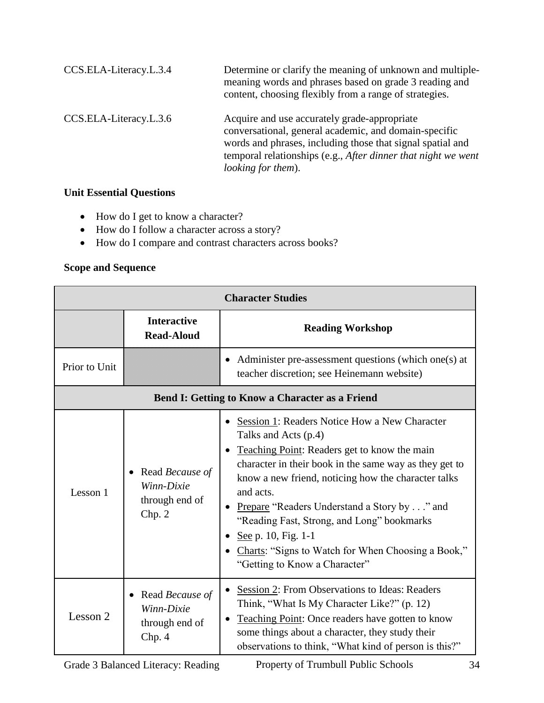| CCS.ELA-Literacy.L.3.4 | Determine or clarify the meaning of unknown and multiple-<br>meaning words and phrases based on grade 3 reading and<br>content, choosing flexibly from a range of strategies.                                                                                      |
|------------------------|--------------------------------------------------------------------------------------------------------------------------------------------------------------------------------------------------------------------------------------------------------------------|
| CCS.ELA-Literacy.L.3.6 | Acquire and use accurately grade-appropriate<br>conversational, general academic, and domain-specific<br>words and phrases, including those that signal spatial and<br>temporal relationships (e.g., After dinner that night we went<br><i>looking for them</i> ). |

## **Unit Essential Questions**

- How do I get to know a character?
- How do I follow a character across a story?
- How do I compare and contrast characters across books?

| <b>Character Studies</b>                               |                                                                  |                                                                                                                                                                                                                                                                                                                                                                                                                                                                |
|--------------------------------------------------------|------------------------------------------------------------------|----------------------------------------------------------------------------------------------------------------------------------------------------------------------------------------------------------------------------------------------------------------------------------------------------------------------------------------------------------------------------------------------------------------------------------------------------------------|
|                                                        | <b>Interactive</b><br><b>Read-Aloud</b>                          | <b>Reading Workshop</b>                                                                                                                                                                                                                                                                                                                                                                                                                                        |
| Prior to Unit                                          |                                                                  | • Administer pre-assessment questions (which one(s) at<br>teacher discretion; see Heinemann website)                                                                                                                                                                                                                                                                                                                                                           |
| <b>Bend I: Getting to Know a Character as a Friend</b> |                                                                  |                                                                                                                                                                                                                                                                                                                                                                                                                                                                |
| Lesson 1                                               | Read <i>Because of</i><br>Winn-Dixie<br>through end of<br>Chp. 2 | Session 1: Readers Notice How a New Character<br>Talks and Acts (p.4)<br>Teaching Point: Readers get to know the main<br>character in their book in the same way as they get to<br>know a new friend, noticing how the character talks<br>and acts.<br>Prepare "Readers Understand a Story by" and<br>"Reading Fast, Strong, and Long" bookmarks<br>See p. 10, Fig. 1-1<br>Charts: "Signs to Watch for When Choosing a Book,"<br>"Getting to Know a Character" |
| Lesson 2                                               | Read <i>Because</i> of<br>Winn-Dixie<br>through end of<br>Chp. 4 | Session 2: From Observations to Ideas: Readers<br>Think, "What Is My Character Like?" (p. 12)<br>Teaching Point: Once readers have gotten to know<br>some things about a character, they study their<br>observations to think, "What kind of person is this?"                                                                                                                                                                                                  |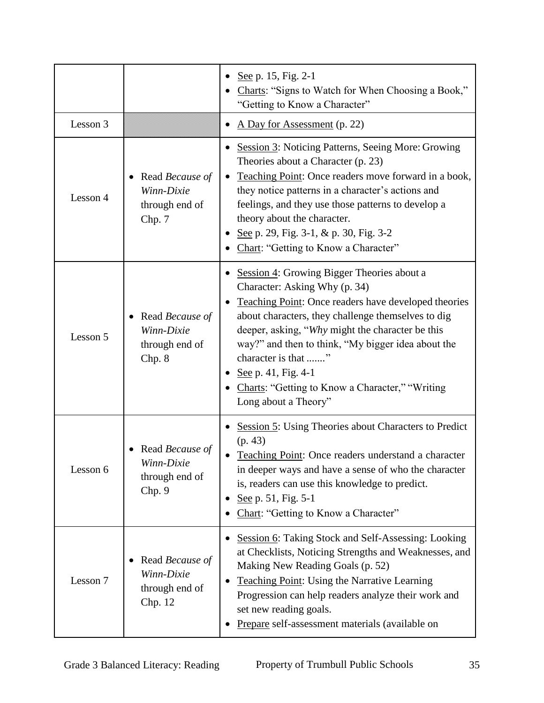|          |                                                            | See p. 15, Fig. 2-1<br>Charts: "Signs to Watch for When Choosing a Book,"<br>"Getting to Know a Character"                                                                                                                                                                                                                                                                                                                                 |
|----------|------------------------------------------------------------|--------------------------------------------------------------------------------------------------------------------------------------------------------------------------------------------------------------------------------------------------------------------------------------------------------------------------------------------------------------------------------------------------------------------------------------------|
| Lesson 3 |                                                            | A Day for Assessment (p. 22)                                                                                                                                                                                                                                                                                                                                                                                                               |
| Lesson 4 | Read Because of<br>Winn-Dixie<br>through end of<br>Chp. 7  | <b>Session 3: Noticing Patterns, Seeing More: Growing</b><br>Theories about a Character (p. 23)<br>Teaching Point: Once readers move forward in a book,<br>they notice patterns in a character's actions and<br>feelings, and they use those patterns to develop a<br>theory about the character.<br>See p. 29, Fig. 3-1, & p. 30, Fig. 3-2<br>Chart: "Getting to Know a Character"                                                        |
| Lesson 5 | Read Because of<br>Winn-Dixie<br>through end of<br>Chp. 8  | <b>Session 4: Growing Bigger Theories about a</b><br>Character: Asking Why (p. 34)<br><b>Teaching Point:</b> Once readers have developed theories<br>about characters, they challenge themselves to dig<br>deeper, asking, "Why might the character be this<br>way?" and then to think, "My bigger idea about the<br>character is that "<br>See p. 41, Fig. 4-1<br>Charts: "Getting to Know a Character," "Writing<br>Long about a Theory" |
| Lesson 6 | Read Because of<br>Winn-Dixie<br>through end of<br>Chp. 9  | <b>Session 5: Using Theories about Characters to Predict</b><br>(p. 43)<br>Teaching Point: Once readers understand a character<br>in deeper ways and have a sense of who the character<br>is, readers can use this knowledge to predict.<br>See p. 51, Fig. 5-1<br>Chart: "Getting to Know a Character"                                                                                                                                    |
| Lesson 7 | Read Because of<br>Winn-Dixie<br>through end of<br>Chp. 12 | <b>Session 6: Taking Stock and Self-Assessing: Looking</b><br>at Checklists, Noticing Strengths and Weaknesses, and<br>Making New Reading Goals (p. 52)<br><b>Teaching Point: Using the Narrative Learning</b><br>Progression can help readers analyze their work and<br>set new reading goals.<br>Prepare self-assessment materials (available on                                                                                         |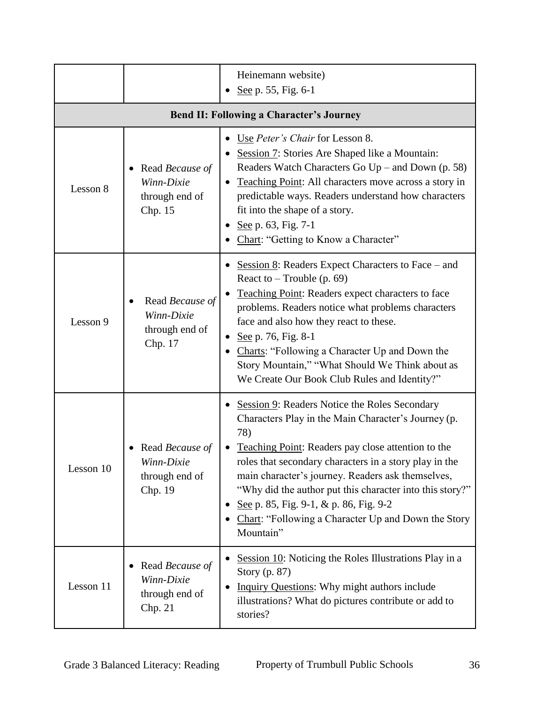|           |                                                            | Heinemann website)<br>See p. 55, Fig. 6-1                                                                                                                                                                                                                                                                                                                                                                                                                              |
|-----------|------------------------------------------------------------|------------------------------------------------------------------------------------------------------------------------------------------------------------------------------------------------------------------------------------------------------------------------------------------------------------------------------------------------------------------------------------------------------------------------------------------------------------------------|
|           |                                                            | <b>Bend II: Following a Character's Journey</b>                                                                                                                                                                                                                                                                                                                                                                                                                        |
| Lesson 8  | Read Because of<br>Winn-Dixie<br>through end of<br>Chp. 15 | Use <i>Peter's Chair</i> for Lesson 8.<br>Session 7: Stories Are Shaped like a Mountain:<br>Readers Watch Characters Go $Up$ – and Down (p. 58)<br>Teaching Point: All characters move across a story in<br>predictable ways. Readers understand how characters<br>fit into the shape of a story.<br>See p. 63, Fig. 7-1<br>Chart: "Getting to Know a Character"                                                                                                       |
| Lesson 9  | Read Because of<br>Winn-Dixie<br>through end of<br>Chp. 17 | Session $8$ : Readers Expect Characters to Face – and<br>React to $-$ Trouble (p. 69)<br>Teaching Point: Readers expect characters to face<br>problems. Readers notice what problems characters<br>face and also how they react to these.<br>See p. 76, Fig. 8-1<br>٠<br>Charts: "Following a Character Up and Down the<br>Story Mountain," "What Should We Think about as<br>We Create Our Book Club Rules and Identity?"                                             |
| Lesson 10 | Read Because of<br>Winn-Dixie<br>through end of<br>Chp. 19 | <b>Session 9: Readers Notice the Roles Secondary</b><br>Characters Play in the Main Character's Journey (p.<br>78)<br>Teaching Point: Readers pay close attention to the<br>roles that secondary characters in a story play in the<br>main character's journey. Readers ask themselves,<br>"Why did the author put this character into this story?"<br>See p. 85, Fig. 9-1, & p. 86, Fig. 9-2<br>٠<br>Chart: "Following a Character Up and Down the Story<br>Mountain" |
| Lesson 11 | Read Because of<br>Winn-Dixie<br>through end of<br>Chp. 21 | Session 10: Noticing the Roles Illustrations Play in a<br>Story (p. 87)<br>Inquiry Questions: Why might authors include<br>illustrations? What do pictures contribute or add to<br>stories?                                                                                                                                                                                                                                                                            |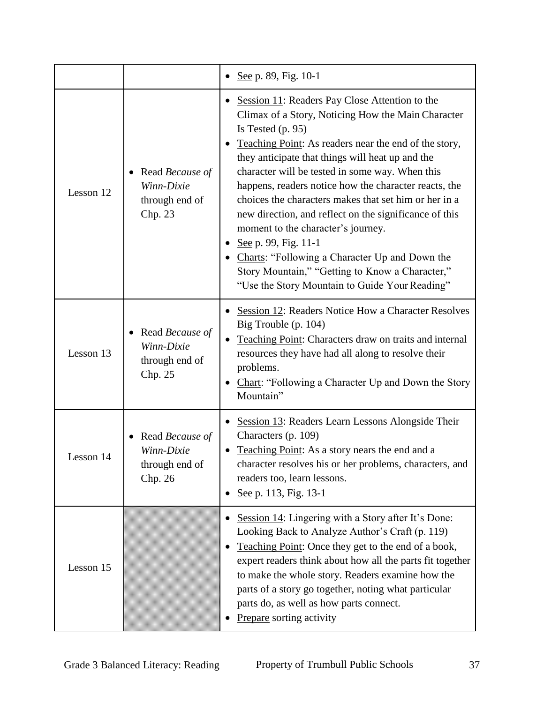|           |                                                            | • <u>See</u> p. 89, Fig. 10-1                                                                                                                                                                                                                                                                                                                                                                                                                                                                                                                                                                                                                                                                               |
|-----------|------------------------------------------------------------|-------------------------------------------------------------------------------------------------------------------------------------------------------------------------------------------------------------------------------------------------------------------------------------------------------------------------------------------------------------------------------------------------------------------------------------------------------------------------------------------------------------------------------------------------------------------------------------------------------------------------------------------------------------------------------------------------------------|
| Lesson 12 | Read Because of<br>Winn-Dixie<br>through end of<br>Chp. 23 | Session 11: Readers Pay Close Attention to the<br>$\bullet$<br>Climax of a Story, Noticing How the Main Character<br>Is Tested $(p. 95)$<br>Teaching Point: As readers near the end of the story,<br>they anticipate that things will heat up and the<br>character will be tested in some way. When this<br>happens, readers notice how the character reacts, the<br>choices the characters makes that set him or her in a<br>new direction, and reflect on the significance of this<br>moment to the character's journey.<br>See p. 99, Fig. 11-1<br>• Charts: "Following a Character Up and Down the<br>Story Mountain," "Getting to Know a Character,"<br>"Use the Story Mountain to Guide Your Reading" |
| Lesson 13 | Read Because of<br>Winn-Dixie<br>through end of<br>Chp. 25 | Session 12: Readers Notice How a Character Resolves<br>Big Trouble (p. 104)<br>Teaching Point: Characters draw on traits and internal<br>resources they have had all along to resolve their<br>problems.<br>Chart: "Following a Character Up and Down the Story<br>Mountain"                                                                                                                                                                                                                                                                                                                                                                                                                                |
| Lesson 14 | Read Because of<br>Winn-Dixie<br>through end of<br>Chp. 26 | Session 13: Readers Learn Lessons Alongside Their<br>$\bullet$<br>Characters (p. 109)<br>Teaching Point: As a story nears the end and a<br>character resolves his or her problems, characters, and<br>readers too, learn lessons.<br>See p. 113, Fig. 13-1<br>٠                                                                                                                                                                                                                                                                                                                                                                                                                                             |
| Lesson 15 |                                                            | Session 14: Lingering with a Story after It's Done:<br>Looking Back to Analyze Author's Craft (p. 119)<br>Teaching Point: Once they get to the end of a book,<br>expert readers think about how all the parts fit together<br>to make the whole story. Readers examine how the<br>parts of a story go together, noting what particular<br>parts do, as well as how parts connect.<br>Prepare sorting activity                                                                                                                                                                                                                                                                                               |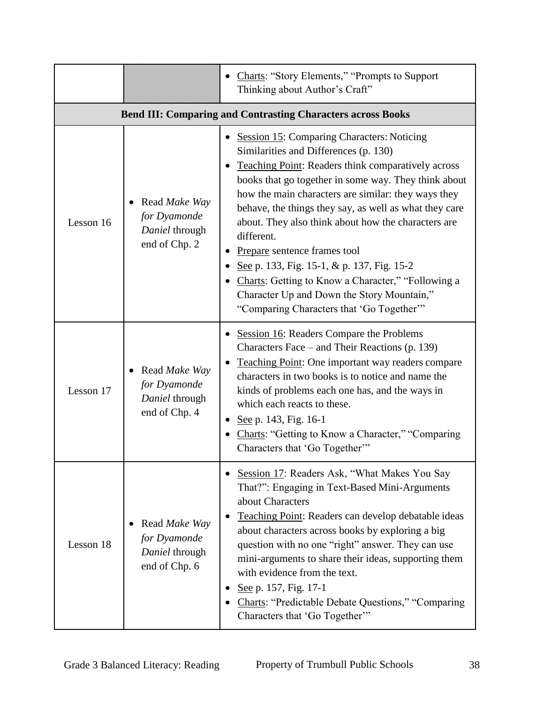|                                                                    |                                                                  | Charts: "Story Elements," "Prompts to Support<br>Thinking about Author's Craft"                                                                                                                                                                                                                                                                                                                                                                                                                                                                                                                                              |
|--------------------------------------------------------------------|------------------------------------------------------------------|------------------------------------------------------------------------------------------------------------------------------------------------------------------------------------------------------------------------------------------------------------------------------------------------------------------------------------------------------------------------------------------------------------------------------------------------------------------------------------------------------------------------------------------------------------------------------------------------------------------------------|
| <b>Bend III: Comparing and Contrasting Characters across Books</b> |                                                                  |                                                                                                                                                                                                                                                                                                                                                                                                                                                                                                                                                                                                                              |
| Lesson 16                                                          | Read Make Way<br>for Dyamonde<br>Daniel through<br>end of Chp. 2 | <b>Session 15: Comparing Characters: Noticing</b><br>Similarities and Differences (p. 130)<br>Teaching Point: Readers think comparatively across<br>books that go together in some way. They think about<br>how the main characters are similar: they ways they<br>behave, the things they say, as well as what they care<br>about. They also think about how the characters are<br>different.<br>Prepare sentence frames tool<br>See p. 133, Fig. 15-1, & p. 137, Fig. 15-2<br>Charts: Getting to Know a Character," "Following a<br>Character Up and Down the Story Mountain,"<br>"Comparing Characters that 'Go Together" |
| Lesson 17                                                          | Read Make Way<br>for Dyamonde<br>Daniel through<br>end of Chp. 4 | Session 16: Readers Compare the Problems<br>Characters Face – and Their Reactions (p. 139)<br><b>Teaching Point:</b> One important way readers compare<br>characters in two books is to notice and name the<br>kinds of problems each one has, and the ways in<br>which each reacts to these.<br>See p. 143, Fig. 16-1<br>Charts: "Getting to Know a Character," "Comparing<br>Characters that 'Go Together'"                                                                                                                                                                                                                |
| Lesson 18                                                          | Read Make Way<br>for Dyamonde<br>Daniel through<br>end of Chp. 6 | Session 17: Readers Ask, "What Makes You Say<br>That?": Engaging in Text-Based Mini-Arguments<br>about Characters<br>Teaching Point: Readers can develop debatable ideas<br>about characters across books by exploring a big<br>question with no one "right" answer. They can use<br>mini-arguments to share their ideas, supporting them<br>with evidence from the text.<br>See p. 157, Fig. 17-1<br><b>Charts: "Predictable Debate Questions," "Comparing</b><br>Characters that 'Go Together'"                                                                                                                            |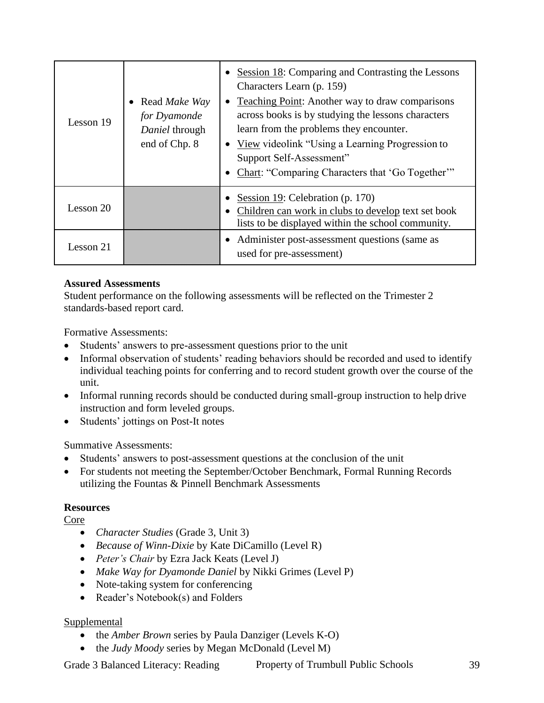| Lesson 19 | • Read <i>Make Way</i><br>for Dyamonde<br>Daniel through<br>end of Chp. 8 | Session 18: Comparing and Contrasting the Lessons<br>Characters Learn (p. 159)<br>• Teaching Point: Another way to draw comparisons<br>across books is by studying the lessons characters<br>learn from the problems they encounter.<br>• View videolink "Using a Learning Progression to<br>Support Self-Assessment"<br>Chart: "Comparing Characters that 'Go Together" |
|-----------|---------------------------------------------------------------------------|--------------------------------------------------------------------------------------------------------------------------------------------------------------------------------------------------------------------------------------------------------------------------------------------------------------------------------------------------------------------------|
| Lesson 20 |                                                                           | Session 19: Celebration (p. 170)<br>Children can work in clubs to develop text set book<br>lists to be displayed within the school community.                                                                                                                                                                                                                            |
| Lesson 21 |                                                                           | • Administer post-assessment questions (same as<br>used for pre-assessment)                                                                                                                                                                                                                                                                                              |

Student performance on the following assessments will be reflected on the Trimester 2 standards-based report card.

Formative Assessments:

- Students' answers to pre-assessment questions prior to the unit
- Informal observation of students' reading behaviors should be recorded and used to identify individual teaching points for conferring and to record student growth over the course of the unit.
- Informal running records should be conducted during small-group instruction to help drive instruction and form leveled groups.
- Students' jottings on Post-It notes

Summative Assessments:

- Students' answers to post-assessment questions at the conclusion of the unit
- For students not meeting the September/October Benchmark, Formal Running Records utilizing the Fountas & Pinnell Benchmark Assessments

#### **Resources**

Core

- *Character Studies* (Grade 3, Unit 3)
- *Because of Winn-Dixie* by Kate DiCamillo (Level R)
- *Peter's Chair* by Ezra Jack Keats (Level J)
- *Make Way for Dyamonde Daniel* by Nikki Grimes (Level P)
- Note-taking system for conferencing
- Reader's Notebook(s) and Folders

#### Supplemental

- the *Amber Brown* series by Paula Danziger (Levels K-O)
- the *Judy Moody* series by Megan McDonald (Level M)

Grade 3 Balanced Literacy: Reading Property of Trumbull Public Schools 39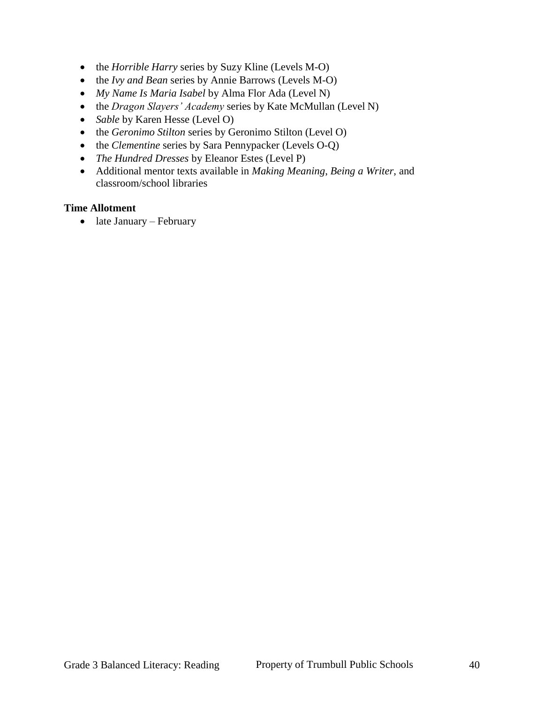- the *Horrible Harry* series by Suzy Kline (Levels M-O)
- the *Ivy and Bean* series by Annie Barrows (Levels M-O)
- *My Name Is Maria Isabel* by Alma Flor Ada (Level N)
- the *Dragon Slayers' Academy* series by Kate McMullan (Level N)
- *Sable* by Karen Hesse (Level O)
- the *Geronimo Stilton* series by Geronimo Stilton (Level O)
- the *Clementine* series by Sara Pennypacker (Levels O-Q)
- *The Hundred Dresses* by Eleanor Estes (Level P)
- Additional mentor texts available in *Making Meaning*, *Being a Writer*, and classroom/school libraries

#### **Time Allotment**

 $\bullet$  late January – February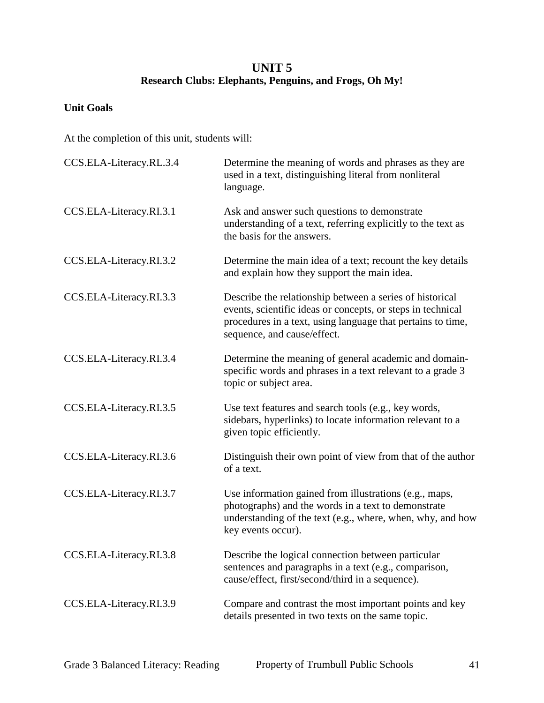## **UNIT 5 Research Clubs: Elephants, Penguins, and Frogs, Oh My!**

#### **Unit Goals**

| CCS.ELA-Literacy.RL.3.4 | Determine the meaning of words and phrases as they are<br>used in a text, distinguishing literal from nonliteral<br>language.                                                                                         |
|-------------------------|-----------------------------------------------------------------------------------------------------------------------------------------------------------------------------------------------------------------------|
| CCS.ELA-Literacy.RI.3.1 | Ask and answer such questions to demonstrate<br>understanding of a text, referring explicitly to the text as<br>the basis for the answers.                                                                            |
| CCS.ELA-Literacy.RI.3.2 | Determine the main idea of a text; recount the key details<br>and explain how they support the main idea.                                                                                                             |
| CCS.ELA-Literacy.RI.3.3 | Describe the relationship between a series of historical<br>events, scientific ideas or concepts, or steps in technical<br>procedures in a text, using language that pertains to time,<br>sequence, and cause/effect. |
| CCS.ELA-Literacy.RI.3.4 | Determine the meaning of general academic and domain-<br>specific words and phrases in a text relevant to a grade 3<br>topic or subject area.                                                                         |
| CCS.ELA-Literacy.RI.3.5 | Use text features and search tools (e.g., key words,<br>sidebars, hyperlinks) to locate information relevant to a<br>given topic efficiently.                                                                         |
| CCS.ELA-Literacy.RI.3.6 | Distinguish their own point of view from that of the author<br>of a text.                                                                                                                                             |
| CCS.ELA-Literacy.RI.3.7 | Use information gained from illustrations (e.g., maps,<br>photographs) and the words in a text to demonstrate<br>understanding of the text (e.g., where, when, why, and how<br>key events occur).                     |
| CCS.ELA-Literacy.RI.3.8 | Describe the logical connection between particular<br>sentences and paragraphs in a text (e.g., comparison,<br>cause/effect, first/second/third in a sequence).                                                       |
| CCS.ELA-Literacy.RI.3.9 | Compare and contrast the most important points and key<br>details presented in two texts on the same topic.                                                                                                           |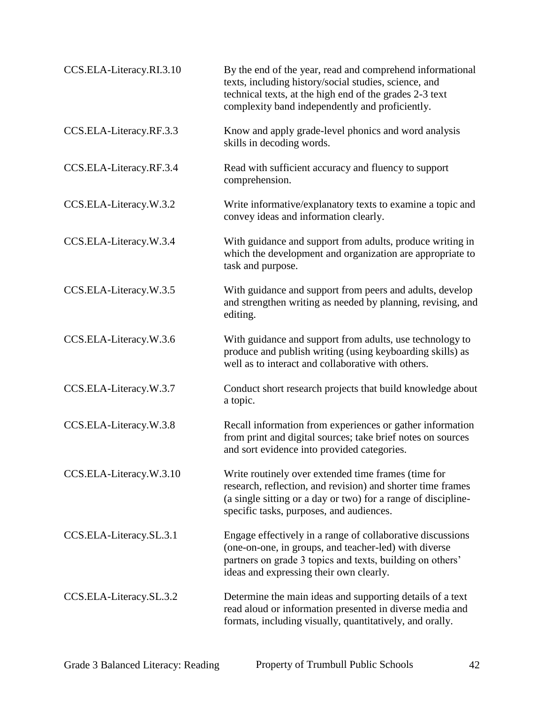| CCS.ELA-Literacy.RI.3.10 | By the end of the year, read and comprehend informational<br>texts, including history/social studies, science, and<br>technical texts, at the high end of the grades 2-3 text<br>complexity band independently and proficiently. |
|--------------------------|----------------------------------------------------------------------------------------------------------------------------------------------------------------------------------------------------------------------------------|
| CCS.ELA-Literacy.RF.3.3  | Know and apply grade-level phonics and word analysis<br>skills in decoding words.                                                                                                                                                |
| CCS.ELA-Literacy.RF.3.4  | Read with sufficient accuracy and fluency to support<br>comprehension.                                                                                                                                                           |
| CCS.ELA-Literacy.W.3.2   | Write informative/explanatory texts to examine a topic and<br>convey ideas and information clearly.                                                                                                                              |
| CCS.ELA-Literacy.W.3.4   | With guidance and support from adults, produce writing in<br>which the development and organization are appropriate to<br>task and purpose.                                                                                      |
| CCS.ELA-Literacy.W.3.5   | With guidance and support from peers and adults, develop<br>and strengthen writing as needed by planning, revising, and<br>editing.                                                                                              |
| CCS.ELA-Literacy.W.3.6   | With guidance and support from adults, use technology to<br>produce and publish writing (using keyboarding skills) as<br>well as to interact and collaborative with others.                                                      |
| CCS.ELA-Literacy.W.3.7   | Conduct short research projects that build knowledge about<br>a topic.                                                                                                                                                           |
| CCS.ELA-Literacy.W.3.8   | Recall information from experiences or gather information<br>from print and digital sources; take brief notes on sources<br>and sort evidence into provided categories.                                                          |
| CCS.ELA-Literacy.W.3.10  | Write routinely over extended time frames (time for<br>research, reflection, and revision) and shorter time frames<br>(a single sitting or a day or two) for a range of discipline-<br>specific tasks, purposes, and audiences.  |
| CCS.ELA-Literacy.SL.3.1  | Engage effectively in a range of collaborative discussions<br>(one-on-one, in groups, and teacher-led) with diverse<br>partners on grade 3 topics and texts, building on others'<br>ideas and expressing their own clearly.      |
| CCS.ELA-Literacy.SL.3.2  | Determine the main ideas and supporting details of a text<br>read aloud or information presented in diverse media and<br>formats, including visually, quantitatively, and orally.                                                |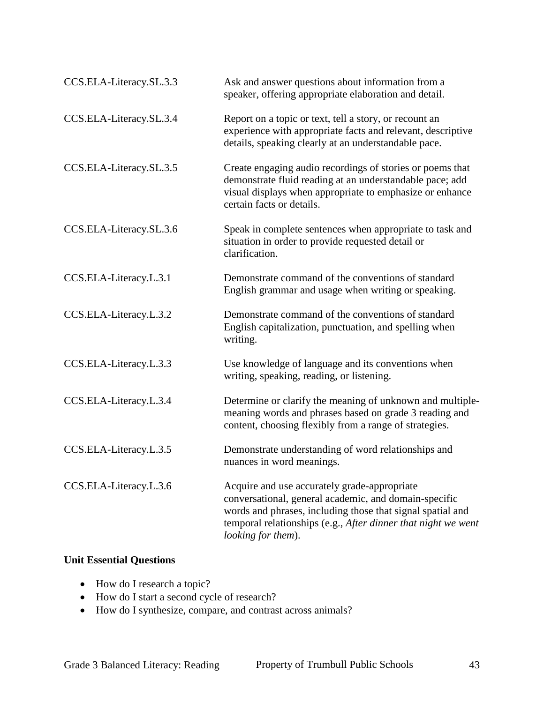| CCS.ELA-Literacy.SL.3.3 | Ask and answer questions about information from a<br>speaker, offering appropriate elaboration and detail.                                                                                                                                                 |
|-------------------------|------------------------------------------------------------------------------------------------------------------------------------------------------------------------------------------------------------------------------------------------------------|
| CCS.ELA-Literacy.SL.3.4 | Report on a topic or text, tell a story, or recount an<br>experience with appropriate facts and relevant, descriptive<br>details, speaking clearly at an understandable pace.                                                                              |
| CCS.ELA-Literacy.SL.3.5 | Create engaging audio recordings of stories or poems that<br>demonstrate fluid reading at an understandable pace; add<br>visual displays when appropriate to emphasize or enhance<br>certain facts or details.                                             |
| CCS.ELA-Literacy.SL.3.6 | Speak in complete sentences when appropriate to task and<br>situation in order to provide requested detail or<br>clarification.                                                                                                                            |
| CCS.ELA-Literacy.L.3.1  | Demonstrate command of the conventions of standard<br>English grammar and usage when writing or speaking.                                                                                                                                                  |
| CCS.ELA-Literacy.L.3.2  | Demonstrate command of the conventions of standard<br>English capitalization, punctuation, and spelling when<br>writing.                                                                                                                                   |
| CCS.ELA-Literacy.L.3.3  | Use knowledge of language and its conventions when<br>writing, speaking, reading, or listening.                                                                                                                                                            |
| CCS.ELA-Literacy.L.3.4  | Determine or clarify the meaning of unknown and multiple-<br>meaning words and phrases based on grade 3 reading and<br>content, choosing flexibly from a range of strategies.                                                                              |
| CCS.ELA-Literacy.L.3.5  | Demonstrate understanding of word relationships and<br>nuances in word meanings.                                                                                                                                                                           |
| CCS.ELA-Literacy.L.3.6  | Acquire and use accurately grade-appropriate<br>conversational, general academic, and domain-specific<br>words and phrases, including those that signal spatial and<br>temporal relationships (e.g., After dinner that night we went<br>looking for them). |

#### **Unit Essential Questions**

- How do I research a topic?
- How do I start a second cycle of research?
- How do I synthesize, compare, and contrast across animals?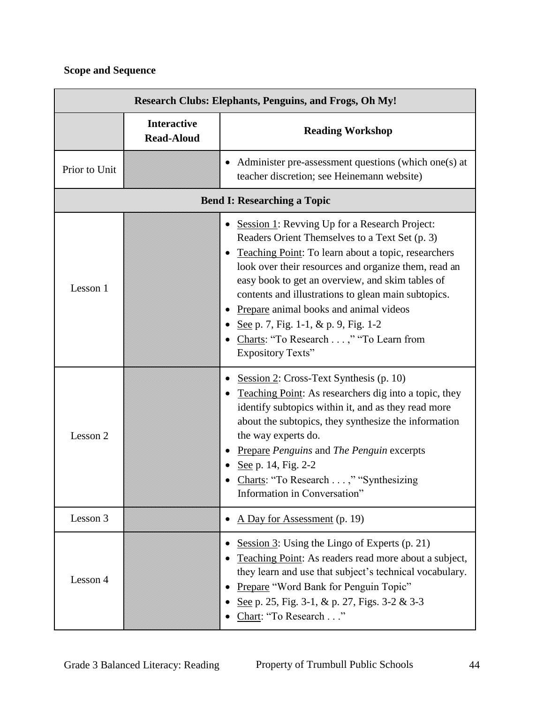| <b>Research Clubs: Elephants, Penguins, and Frogs, Oh My!</b> |                                         |                                                                                                                                                                                                                                                                                                                                                                                                                                                                                   |
|---------------------------------------------------------------|-----------------------------------------|-----------------------------------------------------------------------------------------------------------------------------------------------------------------------------------------------------------------------------------------------------------------------------------------------------------------------------------------------------------------------------------------------------------------------------------------------------------------------------------|
|                                                               | <b>Interactive</b><br><b>Read-Aloud</b> | <b>Reading Workshop</b>                                                                                                                                                                                                                                                                                                                                                                                                                                                           |
| Prior to Unit                                                 |                                         | Administer pre-assessment questions (which one(s) at<br>teacher discretion; see Heinemann website)                                                                                                                                                                                                                                                                                                                                                                                |
| <b>Bend I: Researching a Topic</b>                            |                                         |                                                                                                                                                                                                                                                                                                                                                                                                                                                                                   |
| Lesson 1                                                      |                                         | Session 1: Revving Up for a Research Project:<br>Readers Orient Themselves to a Text Set (p. 3)<br>Teaching Point: To learn about a topic, researchers<br>look over their resources and organize them, read an<br>easy book to get an overview, and skim tables of<br>contents and illustrations to glean main subtopics.<br>Prepare animal books and animal videos<br>See p. 7, Fig. 1-1, & p. 9, Fig. 1-2<br>Charts: "To Research ," "To Learn from<br><b>Expository Texts"</b> |
| Lesson 2                                                      |                                         | Session 2: Cross-Text Synthesis $(p. 10)$<br>Teaching Point: As researchers dig into a topic, they<br>identify subtopics within it, and as they read more<br>about the subtopics, they synthesize the information<br>the way experts do.<br>Prepare Penguins and The Penguin excerpts<br>See p. 14, Fig. 2-2<br>Charts: "To Research ," "Synthesizing<br>Information in Conversation"                                                                                             |
| Lesson 3                                                      |                                         | A Day for Assessment (p. 19)                                                                                                                                                                                                                                                                                                                                                                                                                                                      |
| Lesson 4                                                      |                                         | Session 3: Using the Lingo of Experts (p. 21)<br>Teaching Point: As readers read more about a subject,<br>they learn and use that subject's technical vocabulary.<br>Prepare "Word Bank for Penguin Topic"<br>See p. 25, Fig. 3-1, & p. 27, Figs. 3-2 & 3-3<br>Chart: "To Research"                                                                                                                                                                                               |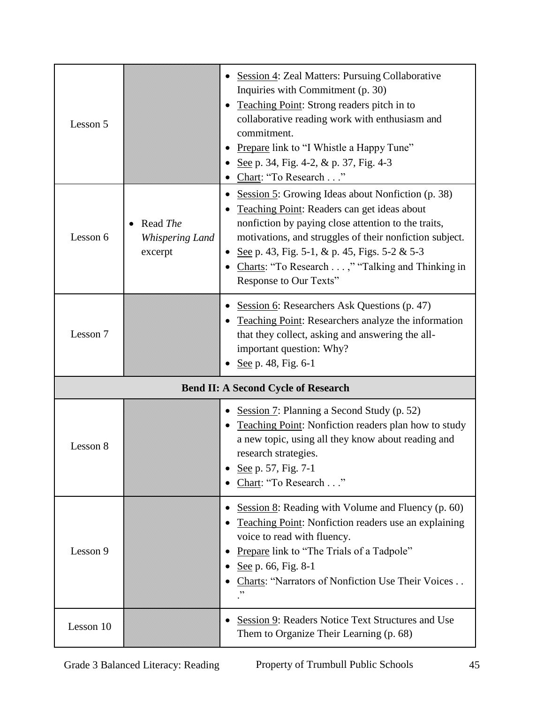| Lesson 5 |                                               | Session 4: Zeal Matters: Pursuing Collaborative<br>Inquiries with Commitment (p. 30)<br>Teaching Point: Strong readers pitch in to<br>collaborative reading work with enthusiasm and<br>commitment.<br>Prepare link to "I Whistle a Happy Tune"<br>See p. 34, Fig. 4-2, $\&$ p. 37, Fig. 4-3<br>Chart: "To Research"                                           |
|----------|-----------------------------------------------|----------------------------------------------------------------------------------------------------------------------------------------------------------------------------------------------------------------------------------------------------------------------------------------------------------------------------------------------------------------|
| Lesson 6 | Read The<br><b>Whispering Land</b><br>excerpt | Session 5: Growing Ideas about Nonfiction (p. 38)<br>$\bullet$<br>Teaching Point: Readers can get ideas about<br>nonfiction by paying close attention to the traits,<br>motivations, and struggles of their nonfiction subject.<br>See p. 43, Fig. 5-1, & p. 45, Figs. 5-2 & 5-3<br>Charts: "To Research ," "Talking and Thinking in<br>Response to Our Texts" |
| Lesson 7 |                                               | Session 6: Researchers Ask Questions (p. 47)<br>Teaching Point: Researchers analyze the information<br>that they collect, asking and answering the all-<br>important question: Why?<br>See p. 48, Fig. 6-1                                                                                                                                                     |
|          |                                               | <b>Bend II: A Second Cycle of Research</b>                                                                                                                                                                                                                                                                                                                     |
|          |                                               |                                                                                                                                                                                                                                                                                                                                                                |
| Lesson 8 |                                               | Session 7: Planning a Second Study (p. 52)<br>Teaching Point: Nonfiction readers plan how to study<br>a new topic, using all they know about reading and<br>research strategies.<br>See p. 57, Fig. 7-1<br>Chart: "To Research"                                                                                                                                |
| Lesson 9 |                                               | Session $8$ : Reading with Volume and Fluency (p. 60)<br><b>Teaching Point:</b> Nonfiction readers use an explaining<br>voice to read with fluency.<br><b>Prepare link to "The Trials of a Tadpole"</b><br>See p. 66, Fig. 8-1<br>Charts: "Narrators of Nonfiction Use Their Voices<br>,,                                                                      |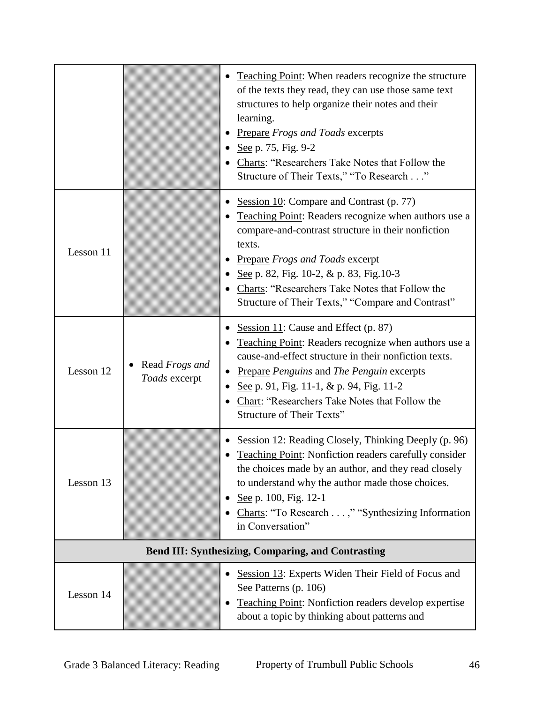|           |                                 | Teaching Point: When readers recognize the structure<br>of the texts they read, they can use those same text<br>structures to help organize their notes and their<br>learning.<br><b>Prepare Frogs and Toads excerpts</b><br>See p. 75, Fig. 9-2<br>Charts: "Researchers Take Notes that Follow the<br>Structure of Their Texts," "To Research"                  |
|-----------|---------------------------------|------------------------------------------------------------------------------------------------------------------------------------------------------------------------------------------------------------------------------------------------------------------------------------------------------------------------------------------------------------------|
| Lesson 11 |                                 | Session 10: Compare and Contrast (p. 77)<br>Teaching Point: Readers recognize when authors use a<br>compare-and-contrast structure in their nonfiction<br>texts.<br><b>Prepare Frogs and Toads excerpt</b><br>See p. 82, Fig. 10-2, & p. 83, Fig. 10-3<br>Charts: "Researchers Take Notes that Follow the<br>Structure of Their Texts," "Compare and Contrast"   |
| Lesson 12 | Read Frogs and<br>Toads excerpt | Session 11: Cause and Effect (p. 87)<br>Teaching Point: Readers recognize when authors use a<br>cause-and-effect structure in their nonfiction texts.<br><b>Prepare Penguins and The Penguin excerpts</b><br>$\bullet$<br>See p. 91, Fig. 11-1, $\&$ p. 94, Fig. 11-2<br>٠<br>Chart: "Researchers Take Notes that Follow the<br><b>Structure of Their Texts"</b> |
| Lesson 13 |                                 | Session 12: Reading Closely, Thinking Deeply (p. 96)<br>Teaching Point: Nonfiction readers carefully consider<br>the choices made by an author, and they read closely<br>to understand why the author made those choices.<br>See p. 100, Fig. 12-1<br>Charts: "To Research ," "Synthesizing Information<br>in Conversation"                                      |
|           |                                 | <b>Bend III: Synthesizing, Comparing, and Contrasting</b>                                                                                                                                                                                                                                                                                                        |
| Lesson 14 |                                 | Session 13: Experts Widen Their Field of Focus and<br>See Patterns (p. 106)<br><b>Teaching Point:</b> Nonfiction readers develop expertise<br>about a topic by thinking about patterns and                                                                                                                                                                       |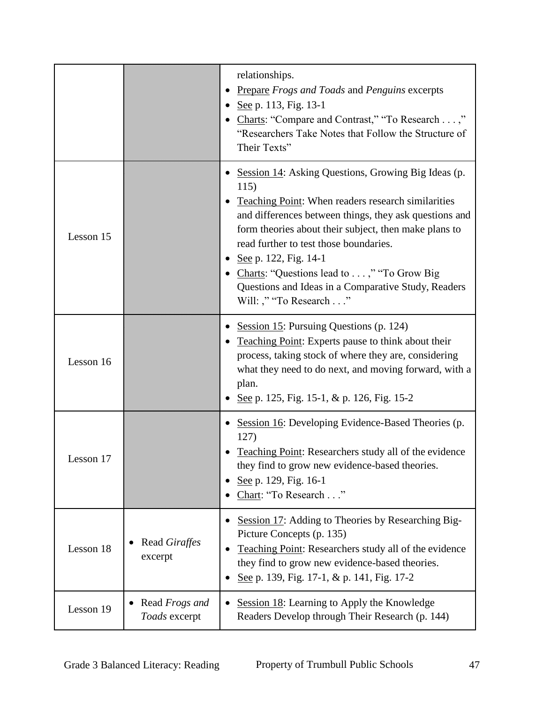|           |                                        | relationships.<br>Prepare Frogs and Toads and Penguins excerpts<br>See p. 113, Fig. 13-1<br>• Charts: "Compare and Contrast," "To Research ,"<br>"Researchers Take Notes that Follow the Structure of<br>Their Texts"                                                                                                                                                                                                                             |
|-----------|----------------------------------------|---------------------------------------------------------------------------------------------------------------------------------------------------------------------------------------------------------------------------------------------------------------------------------------------------------------------------------------------------------------------------------------------------------------------------------------------------|
| Lesson 15 |                                        | • Session 14: Asking Questions, Growing Big Ideas (p.<br>115)<br><b>Teaching Point:</b> When readers research similarities<br>and differences between things, they ask questions and<br>form theories about their subject, then make plans to<br>read further to test those boundaries.<br>See p. 122, Fig. 14-1<br>• Charts: "Questions lead to ," "To Grow Big<br>Questions and Ideas in a Comparative Study, Readers<br>Will: ," "To Research" |
| Lesson 16 |                                        | Session 15: Pursuing Questions (p. 124)<br>Teaching Point: Experts pause to think about their<br>process, taking stock of where they are, considering<br>what they need to do next, and moving forward, with a<br>plan.<br>See p. 125, Fig. 15-1, & p. 126, Fig. 15-2                                                                                                                                                                             |
| Lesson 17 |                                        | Session 16: Developing Evidence-Based Theories (p.<br>127)<br>Teaching Point: Researchers study all of the evidence<br>they find to grow new evidence-based theories.<br>See p. 129, Fig. 16-1<br>Chart: "To Research"                                                                                                                                                                                                                            |
| Lesson 18 | Read Giraffes<br>excerpt               | Session 17: Adding to Theories by Researching Big-<br>Picture Concepts (p. 135)<br>Teaching Point: Researchers study all of the evidence<br>they find to grow new evidence-based theories.<br>See p. 139, Fig. 17-1, & p. 141, Fig. 17-2                                                                                                                                                                                                          |
| Lesson 19 | Read <i>Frogs and</i><br>Toads excerpt | Session 18: Learning to Apply the Knowledge<br>Readers Develop through Their Research (p. 144)                                                                                                                                                                                                                                                                                                                                                    |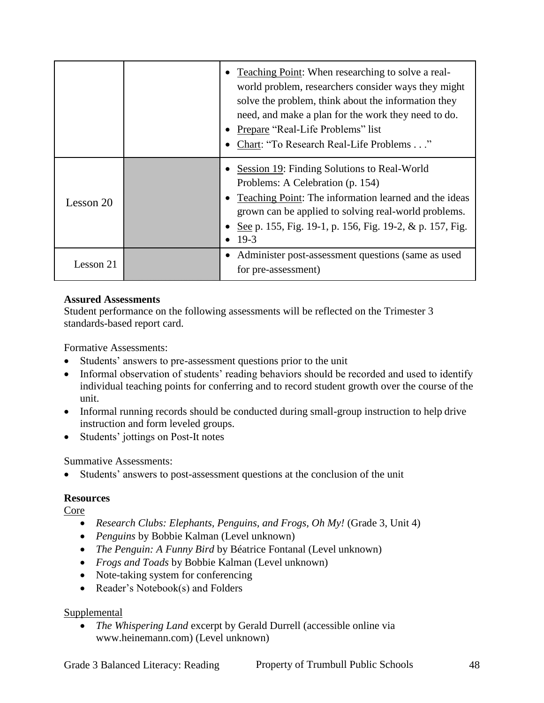|           | • Teaching Point: When researching to solve a real-<br>world problem, researchers consider ways they might<br>solve the problem, think about the information they<br>need, and make a plan for the work they need to do.<br>• Prepare "Real-Life Problems" list<br>Chart: "To Research Real-Life Problems" |
|-----------|------------------------------------------------------------------------------------------------------------------------------------------------------------------------------------------------------------------------------------------------------------------------------------------------------------|
| Lesson 20 | <b>Session 19:</b> Finding Solutions to Real-World<br>Problems: A Celebration (p. 154)<br>• Teaching Point: The information learned and the ideas<br>grown can be applied to solving real-world problems.<br>See p. 155, Fig. 19-1, p. 156, Fig. 19-2, & p. 157, Fig.<br>$19-3$                            |
| Lesson 21 | Administer post-assessment questions (same as used<br>for pre-assessment)                                                                                                                                                                                                                                  |

Student performance on the following assessments will be reflected on the Trimester 3 standards-based report card.

Formative Assessments:

- Students' answers to pre-assessment questions prior to the unit
- Informal observation of students' reading behaviors should be recorded and used to identify individual teaching points for conferring and to record student growth over the course of the unit.
- Informal running records should be conducted during small-group instruction to help drive instruction and form leveled groups.
- Students' jottings on Post-It notes

Summative Assessments:

Students' answers to post-assessment questions at the conclusion of the unit

#### **Resources**

Core

- *Research Clubs: Elephants, Penguins, and Frogs, Oh My!* (Grade 3, Unit 4)
- *Penguins* by Bobbie Kalman (Level unknown)
- *The Penguin: A Funny Bird* by Béatrice Fontanal (Level unknown)
- *Frogs and Toads* by Bobbie Kalman (Level unknown)
- Note-taking system for conferencing
- Reader's Notebook(s) and Folders

#### Supplemental

 *The Whispering Land* excerpt by Gerald Durrell (accessible online via www.heinemann.com) (Level unknown)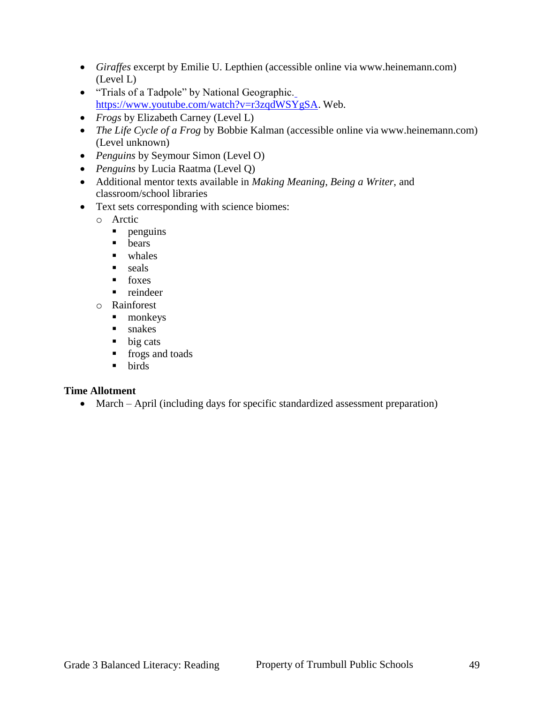- *Giraffes* excerpt by Emilie U. Lepthien (accessible online via www.heinemann.com) (Level L)
- "Trials of a Tadpole" by National Geographic. [https://www.youtube.com/watch?v=r3zqdWSYgSA.](https://www.youtube.com/watch?v=r3zqdWSYgSA) Web.
- *Frogs* by Elizabeth Carney (Level L)
- *The Life Cycle of a Frog* by Bobbie Kalman (accessible online via www.heinemann.com) (Level unknown)
- *Penguins* by Seymour Simon (Level O)
- *Penguins* by Lucia Raatma (Level Q)
- Additional mentor texts available in *Making Meaning*, *Being a Writer*, and classroom/school libraries
- Text sets corresponding with science biomes:
	- o Arctic
		- **penguins**
		- **b**ears
		- **u** whales
		- $\blacksquare$  seals
		- $\blacksquare$  foxes
		- n reindeer
	- o Rainforest
		- **nonkeys**
		- **snakes**
		- $\blacksquare$  big cats
		- **fixalle** frogs and toads
		- **birds**

## **Time Allotment**

• March – April (including days for specific standardized assessment preparation)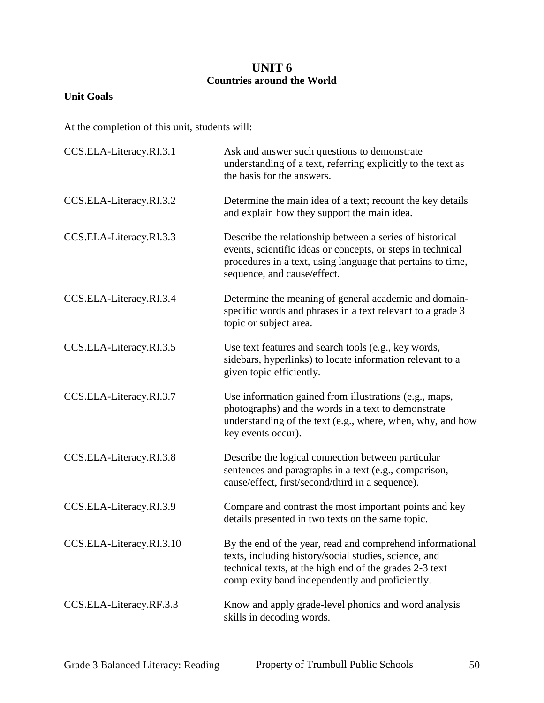## **UNIT 6 Countries around the World**

## **Unit Goals**

| CCS.ELA-Literacy.RI.3.1  | Ask and answer such questions to demonstrate<br>understanding of a text, referring explicitly to the text as<br>the basis for the answers.                                                                                       |
|--------------------------|----------------------------------------------------------------------------------------------------------------------------------------------------------------------------------------------------------------------------------|
| CCS.ELA-Literacy.RI.3.2  | Determine the main idea of a text; recount the key details<br>and explain how they support the main idea.                                                                                                                        |
| CCS.ELA-Literacy.RI.3.3  | Describe the relationship between a series of historical<br>events, scientific ideas or concepts, or steps in technical<br>procedures in a text, using language that pertains to time,<br>sequence, and cause/effect.            |
| CCS.ELA-Literacy.RI.3.4  | Determine the meaning of general academic and domain-<br>specific words and phrases in a text relevant to a grade 3<br>topic or subject area.                                                                                    |
| CCS.ELA-Literacy.RI.3.5  | Use text features and search tools (e.g., key words,<br>sidebars, hyperlinks) to locate information relevant to a<br>given topic efficiently.                                                                                    |
| CCS.ELA-Literacy.RI.3.7  | Use information gained from illustrations (e.g., maps,<br>photographs) and the words in a text to demonstrate<br>understanding of the text (e.g., where, when, why, and how<br>key events occur).                                |
| CCS.ELA-Literacy.RI.3.8  | Describe the logical connection between particular<br>sentences and paragraphs in a text (e.g., comparison,<br>cause/effect, first/second/third in a sequence).                                                                  |
| CCS.ELA-Literacy.RI.3.9  | Compare and contrast the most important points and key<br>details presented in two texts on the same topic.                                                                                                                      |
| CCS.ELA-Literacy.RI.3.10 | By the end of the year, read and comprehend informational<br>texts, including history/social studies, science, and<br>technical texts, at the high end of the grades 2-3 text<br>complexity band independently and proficiently. |
| CCS.ELA-Literacy.RF.3.3  | Know and apply grade-level phonics and word analysis<br>skills in decoding words.                                                                                                                                                |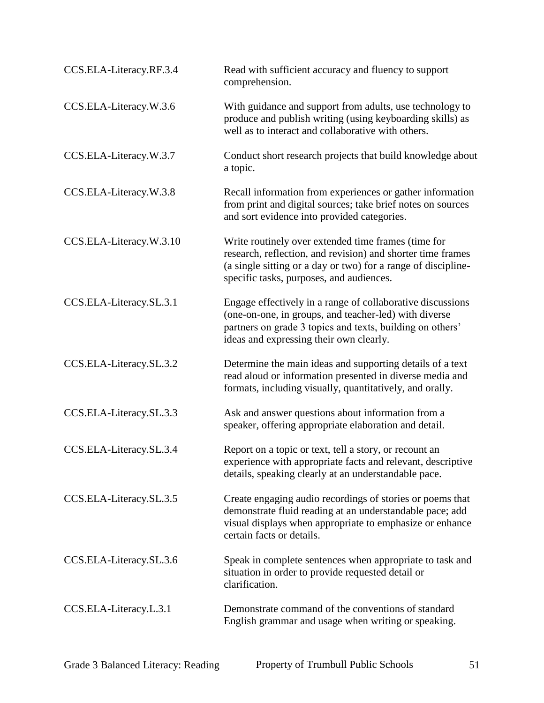| CCS.ELA-Literacy.RF.3.4 | Read with sufficient accuracy and fluency to support<br>comprehension.                                                                                                                                                          |
|-------------------------|---------------------------------------------------------------------------------------------------------------------------------------------------------------------------------------------------------------------------------|
| CCS.ELA-Literacy.W.3.6  | With guidance and support from adults, use technology to<br>produce and publish writing (using keyboarding skills) as<br>well as to interact and collaborative with others.                                                     |
| CCS.ELA-Literacy.W.3.7  | Conduct short research projects that build knowledge about<br>a topic.                                                                                                                                                          |
| CCS.ELA-Literacy.W.3.8  | Recall information from experiences or gather information<br>from print and digital sources; take brief notes on sources<br>and sort evidence into provided categories.                                                         |
| CCS.ELA-Literacy.W.3.10 | Write routinely over extended time frames (time for<br>research, reflection, and revision) and shorter time frames<br>(a single sitting or a day or two) for a range of discipline-<br>specific tasks, purposes, and audiences. |
| CCS.ELA-Literacy.SL.3.1 | Engage effectively in a range of collaborative discussions<br>(one-on-one, in groups, and teacher-led) with diverse<br>partners on grade 3 topics and texts, building on others'<br>ideas and expressing their own clearly.     |
| CCS.ELA-Literacy.SL.3.2 | Determine the main ideas and supporting details of a text<br>read aloud or information presented in diverse media and<br>formats, including visually, quantitatively, and orally.                                               |
| CCS.ELA-Literacy.SL.3.3 | Ask and answer questions about information from a<br>speaker, offering appropriate elaboration and detail.                                                                                                                      |
| CCS.ELA-Literacy.SL.3.4 | Report on a topic or text, tell a story, or recount an<br>experience with appropriate facts and relevant, descriptive<br>details, speaking clearly at an understandable pace.                                                   |
| CCS.ELA-Literacy.SL.3.5 | Create engaging audio recordings of stories or poems that<br>demonstrate fluid reading at an understandable pace; add<br>visual displays when appropriate to emphasize or enhance<br>certain facts or details.                  |
| CCS.ELA-Literacy.SL.3.6 | Speak in complete sentences when appropriate to task and<br>situation in order to provide requested detail or<br>clarification.                                                                                                 |
| CCS.ELA-Literacy.L.3.1  | Demonstrate command of the conventions of standard<br>English grammar and usage when writing or speaking.                                                                                                                       |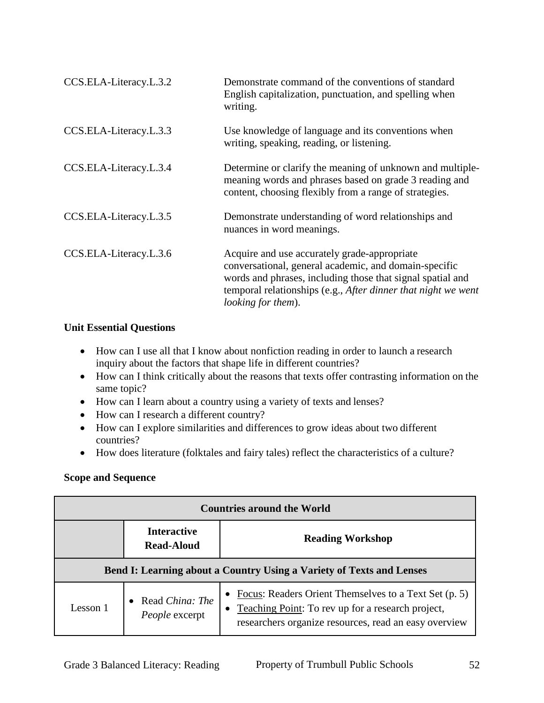| CCS.ELA-Literacy.L.3.2 | Demonstrate command of the conventions of standard<br>English capitalization, punctuation, and spelling when<br>writing.                                                                                                                                           |
|------------------------|--------------------------------------------------------------------------------------------------------------------------------------------------------------------------------------------------------------------------------------------------------------------|
| CCS.ELA-Literacy.L.3.3 | Use knowledge of language and its conventions when<br>writing, speaking, reading, or listening.                                                                                                                                                                    |
| CCS.ELA-Literacy.L.3.4 | Determine or clarify the meaning of unknown and multiple-<br>meaning words and phrases based on grade 3 reading and<br>content, choosing flexibly from a range of strategies.                                                                                      |
| CCS.ELA-Literacy.L.3.5 | Demonstrate understanding of word relationships and<br>nuances in word meanings.                                                                                                                                                                                   |
| CCS.ELA-Literacy.L.3.6 | Acquire and use accurately grade-appropriate<br>conversational, general academic, and domain-specific<br>words and phrases, including those that signal spatial and<br>temporal relationships (e.g., After dinner that night we went<br><i>looking for them</i> ). |

#### **Unit Essential Questions**

- How can I use all that I know about nonfiction reading in order to launch a research inquiry about the factors that shape life in different countries?
- How can I think critically about the reasons that texts offer contrasting information on the same topic?
- How can I learn about a country using a variety of texts and lenses?
- How can I research a different country?
- How can I explore similarities and differences to grow ideas about two different countries?
- How does literature (folktales and fairy tales) reflect the characteristics of a culture?

| <b>Countries around the World</b>                                    |                                         |                                                                                                                                                                          |
|----------------------------------------------------------------------|-----------------------------------------|--------------------------------------------------------------------------------------------------------------------------------------------------------------------------|
|                                                                      | <b>Interactive</b><br><b>Read-Aloud</b> | <b>Reading Workshop</b>                                                                                                                                                  |
| Bend I: Learning about a Country Using a Variety of Texts and Lenses |                                         |                                                                                                                                                                          |
| Lesson 1                                                             | • Read China: The<br>People excerpt     | Focus: Readers Orient Themselves to a Text Set (p. 5)<br>Teaching Point: To rev up for a research project,<br>٠<br>researchers organize resources, read an easy overview |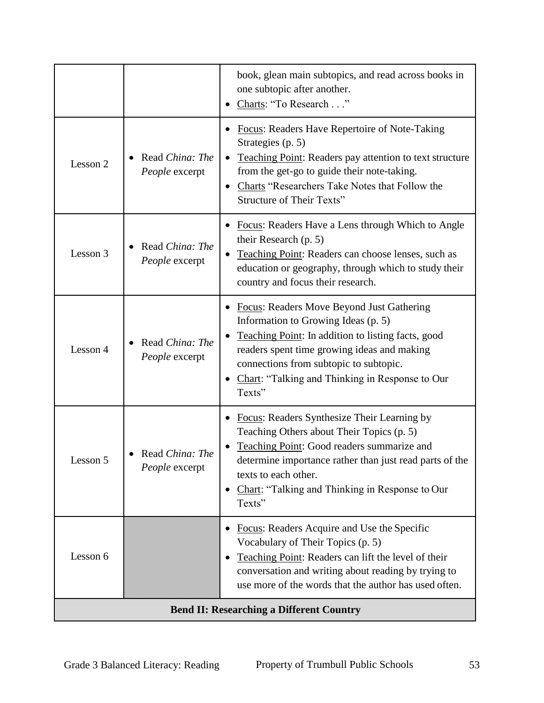|                                                 |                                   | book, glean main subtopics, and read across books in<br>one subtopic after another.<br>Charts: "To Research"                                                                                                                                                                                 |
|-------------------------------------------------|-----------------------------------|----------------------------------------------------------------------------------------------------------------------------------------------------------------------------------------------------------------------------------------------------------------------------------------------|
| Lesson 2                                        | Read China: The<br>People excerpt | Focus: Readers Have Repertoire of Note-Taking<br>Strategies (p. 5)<br><b>Teaching Point:</b> Readers pay attention to text structure<br>$\bullet$<br>from the get-go to guide their note-taking.<br>Charts "Researchers Take Notes that Follow the<br><b>Structure of Their Texts"</b>       |
| Lesson 3                                        | Read China: The<br>People excerpt | Focus: Readers Have a Lens through Which to Angle<br>their Research (p. 5)<br>Teaching Point: Readers can choose lenses, such as<br>education or geography, through which to study their<br>country and focus their research.                                                                |
| Lesson 4                                        | Read China: The<br>People excerpt | Focus: Readers Move Beyond Just Gathering<br>Information to Growing Ideas (p. 5)<br>Teaching Point: In addition to listing facts, good<br>readers spent time growing ideas and making<br>connections from subtopic to subtopic.<br>Chart: "Talking and Thinking in Response to Our<br>Texts" |
| Lesson 5                                        | Read China: The<br>People excerpt | Focus: Readers Synthesize Their Learning by<br>Teaching Others about Their Topics (p. 5)<br>Teaching Point: Good readers summarize and<br>determine importance rather than just read parts of the<br>texts to each other.<br>Chart: "Talking and Thinking in Response to Our<br>Texts"       |
| Lesson 6                                        |                                   | Focus: Readers Acquire and Use the Specific<br>Vocabulary of Their Topics (p. 5)<br>Teaching Point: Readers can lift the level of their<br>conversation and writing about reading by trying to<br>use more of the words that the author has used often.                                      |
| <b>Bend II: Researching a Different Country</b> |                                   |                                                                                                                                                                                                                                                                                              |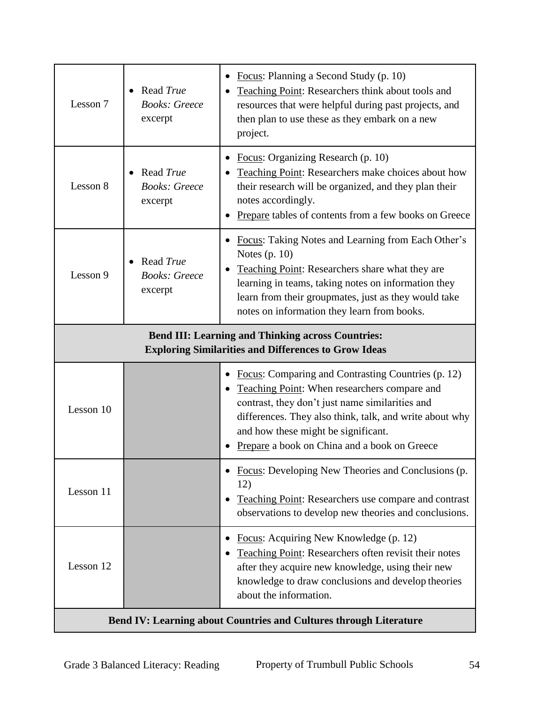| Lesson 7                                                                                                                | Read True<br><b>Books: Greece</b><br>excerpt | Focus: Planning a Second Study (p. 10)<br>Teaching Point: Researchers think about tools and<br>resources that were helpful during past projects, and<br>then plan to use these as they embark on a new<br>project.                                                                                                    |
|-------------------------------------------------------------------------------------------------------------------------|----------------------------------------------|-----------------------------------------------------------------------------------------------------------------------------------------------------------------------------------------------------------------------------------------------------------------------------------------------------------------------|
| Lesson 8                                                                                                                | Read True<br><b>Books: Greece</b><br>excerpt | Focus: Organizing Research (p. 10)<br>Teaching Point: Researchers make choices about how<br>their research will be organized, and they plan their<br>notes accordingly.<br>Prepare tables of contents from a few books on Greece                                                                                      |
| Lesson 9                                                                                                                | Read True<br><b>Books: Greece</b><br>excerpt | Focus: Taking Notes and Learning from Each Other's<br>Notes $(p. 10)$<br>Teaching Point: Researchers share what they are<br>learning in teams, taking notes on information they<br>learn from their groupmates, just as they would take<br>notes on information they learn from books.                                |
| <b>Bend III: Learning and Thinking across Countries:</b><br><b>Exploring Similarities and Differences to Grow Ideas</b> |                                              |                                                                                                                                                                                                                                                                                                                       |
| Lesson 10                                                                                                               |                                              | <b>Focus:</b> Comparing and Contrasting Countries (p. 12)<br><b>Teaching Point:</b> When researchers compare and<br>contrast, they don't just name similarities and<br>differences. They also think, talk, and write about why<br>and how these might be significant.<br>Prepare a book on China and a book on Greece |
| Lesson 11                                                                                                               |                                              | Focus: Developing New Theories and Conclusions (p.<br>12)<br>Teaching Point: Researchers use compare and contrast<br>observations to develop new theories and conclusions.                                                                                                                                            |
| Lesson 12                                                                                                               |                                              | Focus: Acquiring New Knowledge (p. 12)<br>Teaching Point: Researchers often revisit their notes<br>after they acquire new knowledge, using their new<br>knowledge to draw conclusions and develop theories<br>about the information.                                                                                  |
| <b>Bend IV: Learning about Countries and Cultures through Literature</b>                                                |                                              |                                                                                                                                                                                                                                                                                                                       |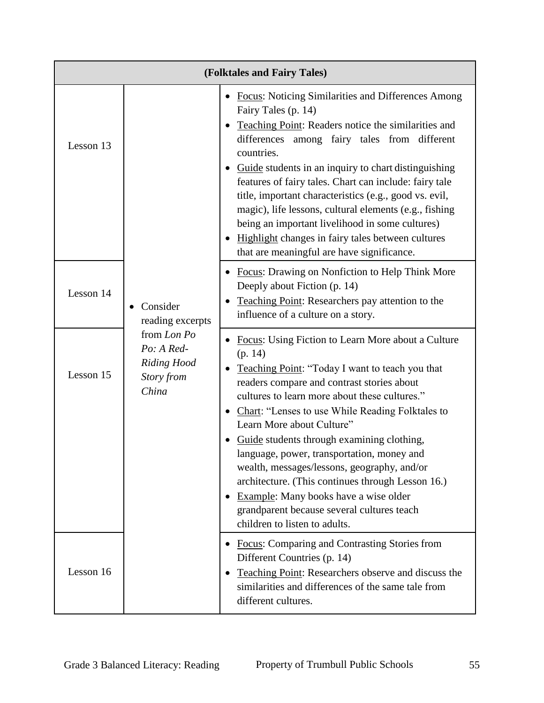| (Folktales and Fairy Tales) |                                                                                                        |                                                                                                                                                                                                                                                                                                                                                                                                                                                                                                                                                                                                                                                         |
|-----------------------------|--------------------------------------------------------------------------------------------------------|---------------------------------------------------------------------------------------------------------------------------------------------------------------------------------------------------------------------------------------------------------------------------------------------------------------------------------------------------------------------------------------------------------------------------------------------------------------------------------------------------------------------------------------------------------------------------------------------------------------------------------------------------------|
| Lesson 13                   | Consider<br>reading excerpts<br>from Lon Po<br>Po: A Red-<br><b>Riding Hood</b><br>Story from<br>China | <b>Focus:</b> Noticing Similarities and Differences Among<br>Fairy Tales (p. 14)<br>Teaching Point: Readers notice the similarities and<br>differences among fairy tales from different<br>countries.<br>Guide students in an inquiry to chart distinguishing<br>features of fairy tales. Chart can include: fairy tale<br>title, important characteristics (e.g., good vs. evil,<br>magic), life lessons, cultural elements (e.g., fishing<br>being an important livelihood in some cultures)<br>Highlight changes in fairy tales between cultures<br>that are meaningful are have significance.                                                       |
| Lesson 14                   |                                                                                                        | • Focus: Drawing on Nonfiction to Help Think More<br>Deeply about Fiction (p. 14)<br>Teaching Point: Researchers pay attention to the<br>influence of a culture on a story.                                                                                                                                                                                                                                                                                                                                                                                                                                                                             |
| Lesson 15                   |                                                                                                        | Focus: Using Fiction to Learn More about a Culture<br>(p. 14)<br>Teaching Point: "Today I want to teach you that<br>$\bullet$<br>readers compare and contrast stories about<br>cultures to learn more about these cultures."<br>Chart: "Lenses to use While Reading Folktales to<br>٠<br>Learn More about Culture"<br>Guide students through examining clothing,<br>language, power, transportation, money and<br>wealth, messages/lessons, geography, and/or<br>architecture. (This continues through Lesson 16.)<br>Example: Many books have a wise older<br>$\bullet$<br>grandparent because several cultures teach<br>children to listen to adults. |
| Lesson 16                   |                                                                                                        | <b>Focus:</b> Comparing and Contrasting Stories from<br>٠<br>Different Countries (p. 14)<br>Teaching Point: Researchers observe and discuss the<br>similarities and differences of the same tale from<br>different cultures.                                                                                                                                                                                                                                                                                                                                                                                                                            |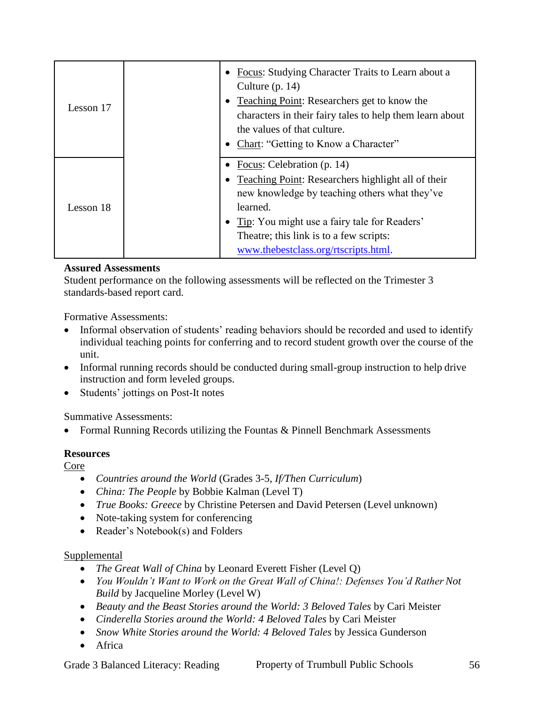| Lesson 17 | Focus: Studying Character Traits to Learn about a<br>Culture $(p. 14)$<br>Teaching Point: Researchers get to know the<br>characters in their fairy tales to help them learn about<br>the values of that culture.<br>Chart: "Getting to Know a Character"                         |
|-----------|----------------------------------------------------------------------------------------------------------------------------------------------------------------------------------------------------------------------------------------------------------------------------------|
| Lesson 18 | Focus: Celebration (p. 14)<br>Teaching Point: Researchers highlight all of their<br>new knowledge by teaching others what they've<br>learned.<br>Tip: You might use a fairy tale for Readers'<br>Theatre; this link is to a few scripts:<br>www.thebestclass.org/rtscripts.html. |

Student performance on the following assessments will be reflected on the Trimester 3 standards-based report card.

Formative Assessments:

- Informal observation of students' reading behaviors should be recorded and used to identify individual teaching points for conferring and to record student growth over the course of the unit.
- Informal running records should be conducted during small-group instruction to help drive instruction and form leveled groups.
- Students' jottings on Post-It notes

Summative Assessments:

Formal Running Records utilizing the Fountas & Pinnell Benchmark Assessments

## **Resources**

Core

- *Countries around the World* (Grades 3-5, *If/Then Curriculum*)
- *China: The People* by Bobbie Kalman (Level T)
- *True Books: Greece* by Christine Petersen and David Petersen (Level unknown)
- Note-taking system for conferencing
- Reader's Notebook(s) and Folders

## Supplemental

- *The Great Wall of China* by Leonard Everett Fisher (Level Q)
- *You Wouldn't Want to Work on the Great Wall of China!: Defenses You'd Rather Not Build* by Jacqueline Morley (Level W)
- *Beauty and the Beast Stories around the World: 3 Beloved Tales* by Cari Meister
- *Cinderella Stories around the World: 4 Beloved Tales* by Cari Meister
- *Snow White Stories around the World: 4 Beloved Tales* by Jessica Gunderson
- Africa